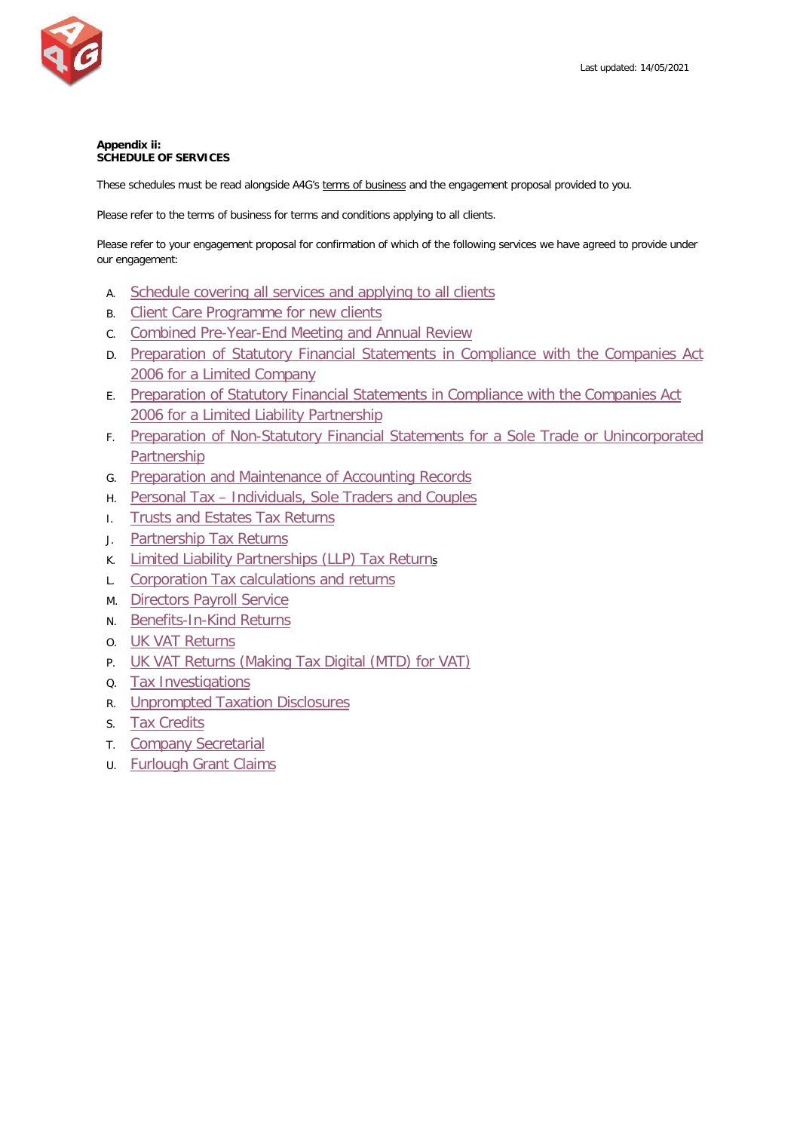

# **Appendix ii: SCHEDULE OF SERVICES**

These schedules must be read alongside A4G's terms of business and the engagement proposal provided to you.

Please refer to the terms of business for terms and conditions applying to all clients.

Please refer to your engagement proposal for confirmation of which of the following services we have agreed to provide under our engagement:

- A. Schedule covering [all services and applying to all clients](#page-1-0)
- B. [Client Care Programme for new clients](#page-2-0)
- C. [Combined Pre-Year-End Meeting and Annual Review](#page-3-0)
- D. [Preparation of Statutory Financial Statements in Compliance with the Companies Act](#page-3-1)  2006 [for a Limited Company](#page-3-1)
- E. [Preparation of Statutory Financial Statements in Compliance with the Companies Act](#page-5-0)  2006 for a [Limited Liability Partnership](#page-5-0)
- F. [Preparation of Non-Statutory Financial Statements for a Sole Trade or Unincorporated](#page-7-0)  [Partnership](#page-7-0)
- G. [Preparation and Maintenance of Accounting Records](#page-8-0)
- H. Personal Tax [Individuals, Sole Traders and Couples](#page-9-0)
- I. [Trusts and Estates Tax Returns](#page-10-0)
- J. [Partnership Tax Returns](#page-12-0)
- K. [Limited Liability Partnerships \(LLP\) Tax Returns](#page-13-0)
- L. Corporation Tax [calculations and returns](#page-14-0)
- M. Directors [Payroll Service](#page-16-0)
- N. [Benefits-In-Kind Returns](#page-17-0)
- O. [UK VAT Returns](#page-18-0)
- P. UK VAT [Returns \(Making Tax Digital \(MTD\) for VAT\)](#page-20-0)
- Q. [Tax Investigations](#page-22-0)
- R. [Unprompted Taxation Disclosures](#page-23-0)
- S. [Tax Credits](#page-24-0)
- T. [Company Secretarial](#page-26-0)
- U. [Furlough Grant Claims](#page-26-1)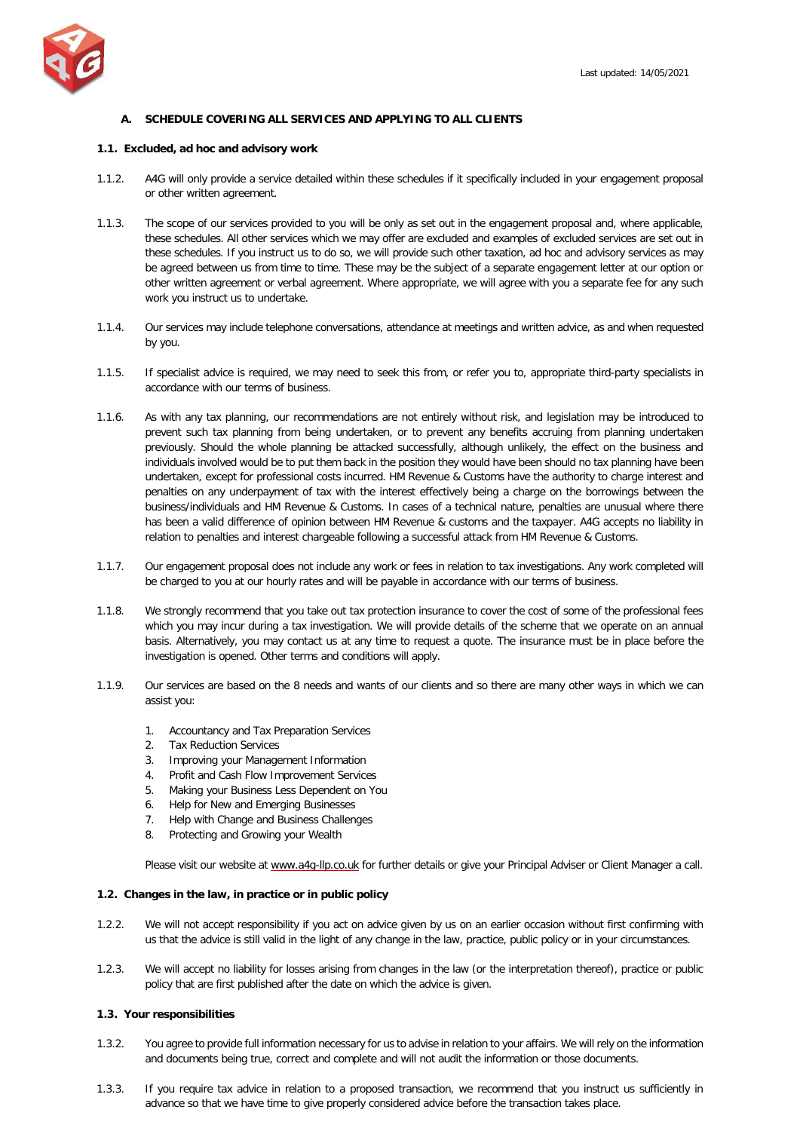

# <span id="page-1-0"></span>**A. SCHEDULE COVERING ALL SERVICES AND APPLYING TO ALL CLIENTS**

## **1.1. Excluded, ad hoc and advisory work**

- 1.1.2. A4G will only provide a service detailed within these schedules if it specifically included in your engagement proposal or other written agreement.
- 1.1.3. The scope of our services provided to you will be only as set out in the engagement proposal and, where applicable, these schedules. All other services which we may offer are excluded and examples of excluded services are set out in these schedules. If you instruct us to do so, we will provide such other taxation, ad hoc and advisory services as may be agreed between us from time to time. These may be the subject of a separate engagement letter at our option or other written agreement or verbal agreement. Where appropriate, we will agree with you a separate fee for any such work you instruct us to undertake.
- 1.1.4. Our services may include telephone conversations, attendance at meetings and written advice, as and when requested by you.
- 1.1.5. If specialist advice is required, we may need to seek this from, or refer you to, appropriate third-party specialists in accordance with our terms of business.
- 1.1.6. As with any tax planning, our recommendations are not entirely without risk, and legislation may be introduced to prevent such tax planning from being undertaken, or to prevent any benefits accruing from planning undertaken previously. Should the whole planning be attacked successfully, although unlikely, the effect on the business and individuals involved would be to put them back in the position they would have been should no tax planning have been undertaken, except for professional costs incurred. HM Revenue & Customs have the authority to charge interest and penalties on any underpayment of tax with the interest effectively being a charge on the borrowings between the business/individuals and HM Revenue & Customs. In cases of a technical nature, penalties are unusual where there has been a valid difference of opinion between HM Revenue & customs and the taxpayer. A4G accepts no liability in relation to penalties and interest chargeable following a successful attack from HM Revenue & Customs.
- 1.1.7. Our engagement proposal does not include any work or fees in relation to tax investigations. Any work completed will be charged to you at our hourly rates and will be payable in accordance with our terms of business.
- 1.1.8. We strongly recommend that you take out tax protection insurance to cover the cost of some of the professional fees which you may incur during a tax investigation. We will provide details of the scheme that we operate on an annual basis. Alternatively, you may contact us at any time to request a quote. The insurance must be in place before the investigation is opened. Other terms and conditions will apply.
- 1.1.9. Our services are based on the 8 needs and wants of our clients and so there are many other ways in which we can assist you:
	- 1. Accountancy and Tax Preparation Services
	- 2. Tax Reduction Services
	-
	- 3. Improving your Management Information<br>4. Profit and Cash Flow Improvement Service
	- 4. Profit and Cash Flow Improvement Services<br>5. Making your Business Less Dependent on Yo 5. Making your Business Less Dependent on You
	-
	- 6. Help for New and Emerging Businesses<br>7. Help with Change and Business Challen 7. Help with Change and Business Challenges
	- 8. Protecting and Growing your Wealth

Please visit our website a[t www.a4g-llp.co.uk](http://www.a4g-llp.co.uk/) for further details or give your Principal Adviser or Client Manager a call.

## **1.2. Changes in the law, in practice or in public policy**

- 1.2.2. We will not accept responsibility if you act on advice given by us on an earlier occasion without first confirming with us that the advice is still valid in the light of any change in the law, practice, public policy or in your circumstances.
- 1.2.3. We will accept no liability for losses arising from changes in the law (or the interpretation thereof), practice or public policy that are first published after the date on which the advice is given.

## **1.3. Your responsibilities**

- 1.3.2. You agree to provide full information necessary for us to advise in relation to your affairs. We will rely on the information and documents being true, correct and complete and will not audit the information or those documents.
- 1.3.3. If you require tax advice in relation to a proposed transaction, we recommend that you instruct us sufficiently in advance so that we have time to give properly considered advice before the transaction takes place.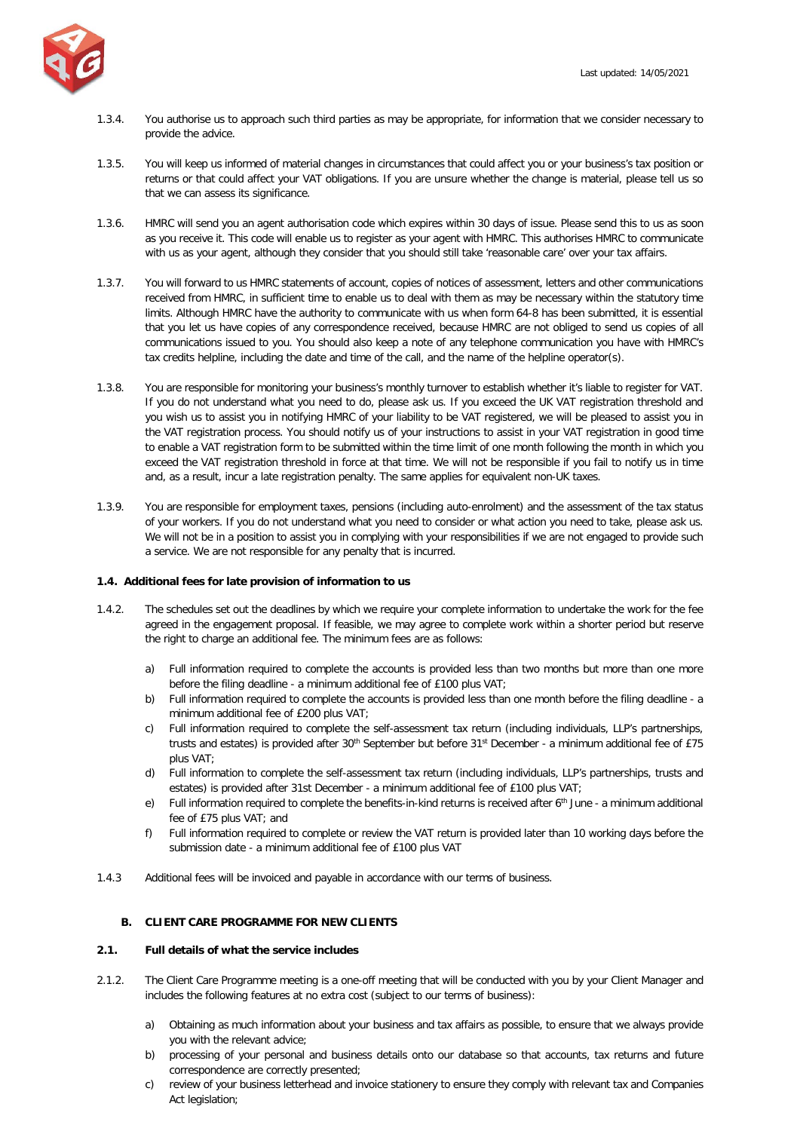

- 1.3.4. You authorise us to approach such third parties as may be appropriate, for information that we consider necessary to provide the advice.
- 1.3.5. You will keep us informed of material changes in circumstances that could affect you or your business's tax position or returns or that could affect your VAT obligations. If you are unsure whether the change is material, please tell us so that we can assess its significance.
- 1.3.6. HMRC will send you an agent authorisation code which expires within 30 days of issue. Please send this to us as soon as you receive it. This code will enable us to register as your agent with HMRC. This authorises HMRC to communicate with us as your agent, although they consider that you should still take 'reasonable care' over your tax affairs.
- 1.3.7. You will forward to us HMRC statements of account, copies of notices of assessment, letters and other communications received from HMRC, in sufficient time to enable us to deal with them as may be necessary within the statutory time limits. Although HMRC have the authority to communicate with us when form 64-8 has been submitted, it is essential that you let us have copies of any correspondence received, because HMRC are not obliged to send us copies of all communications issued to you. You should also keep a note of any telephone communication you have with HMRC's tax credits helpline, including the date and time of the call, and the name of the helpline operator(s).
- 1.3.8. You are responsible for monitoring your business's monthly turnover to establish whether it's liable to register for VAT. If you do not understand what you need to do, please ask us. If you exceed the UK VAT registration threshold and you wish us to assist you in notifying HMRC of your liability to be VAT registered, we will be pleased to assist you in the VAT registration process. You should notify us of your instructions to assist in your VAT registration in good time to enable a VAT registration form to be submitted within the time limit of one month following the month in which you exceed the VAT registration threshold in force at that time. We will not be responsible if you fail to notify us in time and, as a result, incur a late registration penalty. The same applies for equivalent non-UK taxes.
- 1.3.9. You are responsible for employment taxes, pensions (including auto-enrolment) and the assessment of the tax status of your workers. If you do not understand what you need to consider or what action you need to take, please ask us. We will not be in a position to assist you in complying with your responsibilities if we are not engaged to provide such a service. We are not responsible for any penalty that is incurred.

## **1.4. Additional fees for late provision of information to us**

- 1.4.2. The schedules set out the deadlines by which we require your complete information to undertake the work for the fee agreed in the engagement proposal. If feasible, we may agree to complete work within a shorter period but reserve the right to charge an additional fee. The minimum fees are as follows:
	- a) Full information required to complete the accounts is provided less than two months but more than one more before the filing deadline - a minimum additional fee of £100 plus VAT;
	- b) Full information required to complete the accounts is provided less than one month before the filing deadline a minimum additional fee of £200 plus VAT;
	- c) Full information required to complete the self-assessment tax return (including individuals, LLP's partnerships, trusts and estates) is provided after 30<sup>th</sup> September but before 31<sup>st</sup> December - a minimum additional fee of £75 plus VAT;
	- d) Full information to complete the self-assessment tax return (including individuals, LLP's partnerships, trusts and estates) is provided after 31st December - a minimum additional fee of £100 plus VAT;
	- e) Full information required to complete the benefits-in-kind returns is received after  $6<sup>th</sup>$  June a minimum additional fee of £75 plus VAT; and
	- f) Full information required to complete or review the VAT return is provided later than 10 working days before the submission date - a minimum additional fee of £100 plus VAT
- 1.4.3 Additional fees will be invoiced and payable in accordance with our terms of business.

# <span id="page-2-0"></span>**B. CLIENT CARE PROGRAMME FOR NEW CLIENTS**

## **2.1. Full details of what the service includes**

- 2.1.2. The Client Care Programme meeting is a one-off meeting that will be conducted with you by your Client Manager and includes the following features at no extra cost (subject to our terms of business):
	- a) Obtaining as much information about your business and tax affairs as possible, to ensure that we always provide you with the relevant advice;
	- b) processing of your personal and business details onto our database so that accounts, tax returns and future correspondence are correctly presented;
	- c) review of your business letterhead and invoice stationery to ensure they comply with relevant tax and Companies Act legislation;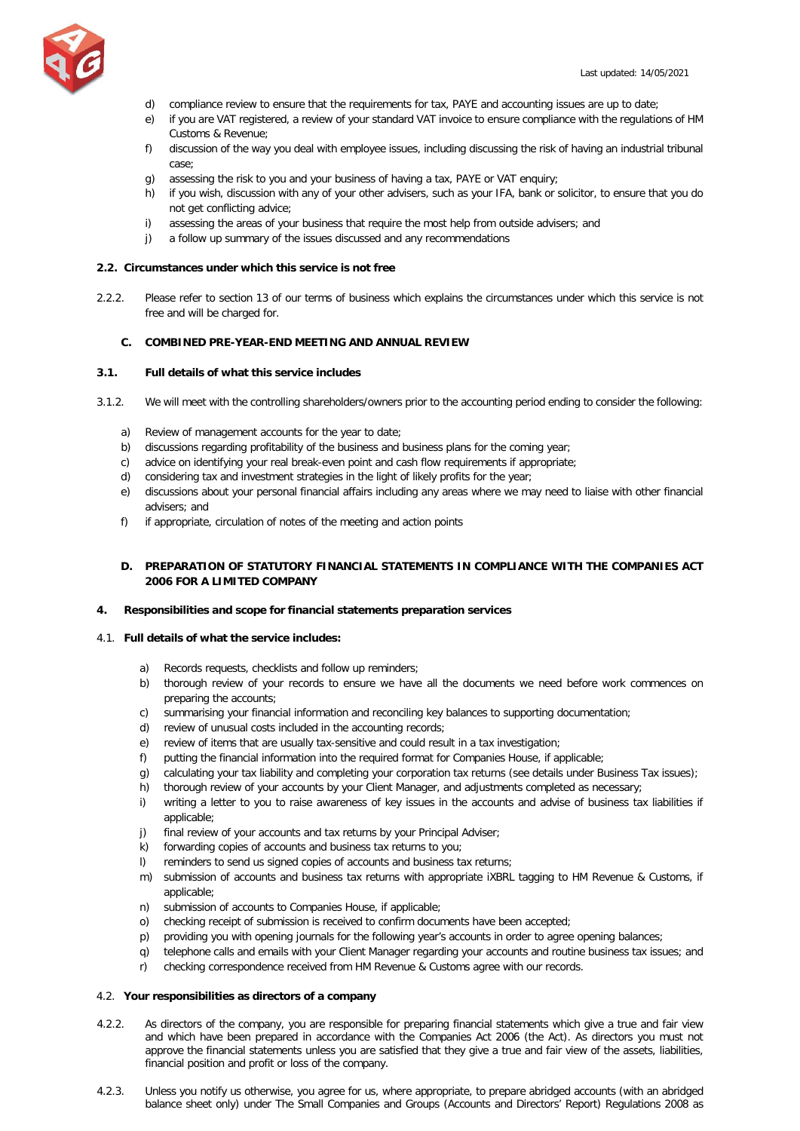

- d) compliance review to ensure that the requirements for tax, PAYE and accounting issues are up to date;
- e) if you are VAT registered, a review of your standard VAT invoice to ensure compliance with the regulations of HM Customs & Revenue;
- f) discussion of the way you deal with employee issues, including discussing the risk of having an industrial tribunal case;
- g) assessing the risk to you and your business of having a tax, PAYE or VAT enquiry;
- h) if you wish, discussion with any of your other advisers, such as your IFA, bank or solicitor, to ensure that you do not get conflicting advice;
- i) assessing the areas of your business that require the most help from outside advisers; and
- j) a follow up summary of the issues discussed and any recommendations

## **2.2. Circumstances under which this service is not free**

2.2.2. Please refer to section 13 of our terms of business which explains the circumstances under which this service is not free and will be charged for.

## <span id="page-3-0"></span>**C. COMBINED PRE-YEAR-END MEETING AND ANNUAL REVIEW**

# **3.1. Full details of what this service includes**

- 3.1.2. We will meet with the controlling shareholders/owners prior to the accounting period ending to consider the following:
	- a) Review of management accounts for the year to date;
	- b) discussions regarding profitability of the business and business plans for the coming year;
	- c) advice on identifying your real break-even point and cash flow requirements if appropriate;
	- d) considering tax and investment strategies in the light of likely profits for the year;
	- e) discussions about your personal financial affairs including any areas where we may need to liaise with other financial advisers; and
	- f) if appropriate, circulation of notes of the meeting and action points

# <span id="page-3-1"></span>**D. PREPARATION OF STATUTORY FINANCIAL STATEMENTS IN COMPLIANCE WITH THE COMPANIES ACT 2006 FOR A LIMITED COMPANY**

## **4. Responsibilities and scope for financial statements preparation services**

# 4.1. **Full details of what the service includes:**

- a) Records requests, checklists and follow up reminders;
- b) thorough review of your records to ensure we have all the documents we need before work commences on preparing the accounts;
- c) summarising your financial information and reconciling key balances to supporting documentation;
- d) review of unusual costs included in the accounting records;
- e) review of items that are usually tax-sensitive and could result in a tax investigation;
- f) putting the financial information into the required format for Companies House, if applicable;
- g) calculating your tax liability and completing your corporation tax returns (see details under Business Tax issues);
- h) thorough review of your accounts by your Client Manager, and adjustments completed as necessary;
- i) writing a letter to you to raise awareness of key issues in the accounts and advise of business tax liabilities if applicable;
- j) final review of your accounts and tax returns by your Principal Adviser;
- k) forwarding copies of accounts and business tax returns to you;
- l) reminders to send us signed copies of accounts and business tax returns;
- m) submission of accounts and business tax returns with appropriate iXBRL tagging to HM Revenue & Customs, if applicable;
- n) submission of accounts to Companies House, if applicable;
- o) checking receipt of submission is received to confirm documents have been accepted;
- p) providing you with opening journals for the following year's accounts in order to agree opening balances;
- q) telephone calls and emails with your Client Manager regarding your accounts and routine business tax issues; and
- r) checking correspondence received from HM Revenue & Customs agree with our records.

# 4.2. **Your responsibilities as directors of a company**

- 4.2.2. As directors of the company, you are responsible for preparing financial statements which give a true and fair view and which have been prepared in accordance with the Companies Act 2006 (the Act). As directors you must not approve the financial statements unless you are satisfied that they give a true and fair view of the assets, liabilities, financial position and profit or loss of the company.
- 4.2.3. Unless you notify us otherwise, you agree for us, where appropriate, to prepare abridged accounts (with an abridged balance sheet only) under The Small Companies and Groups (Accounts and Directors' Report) Regulations 2008 as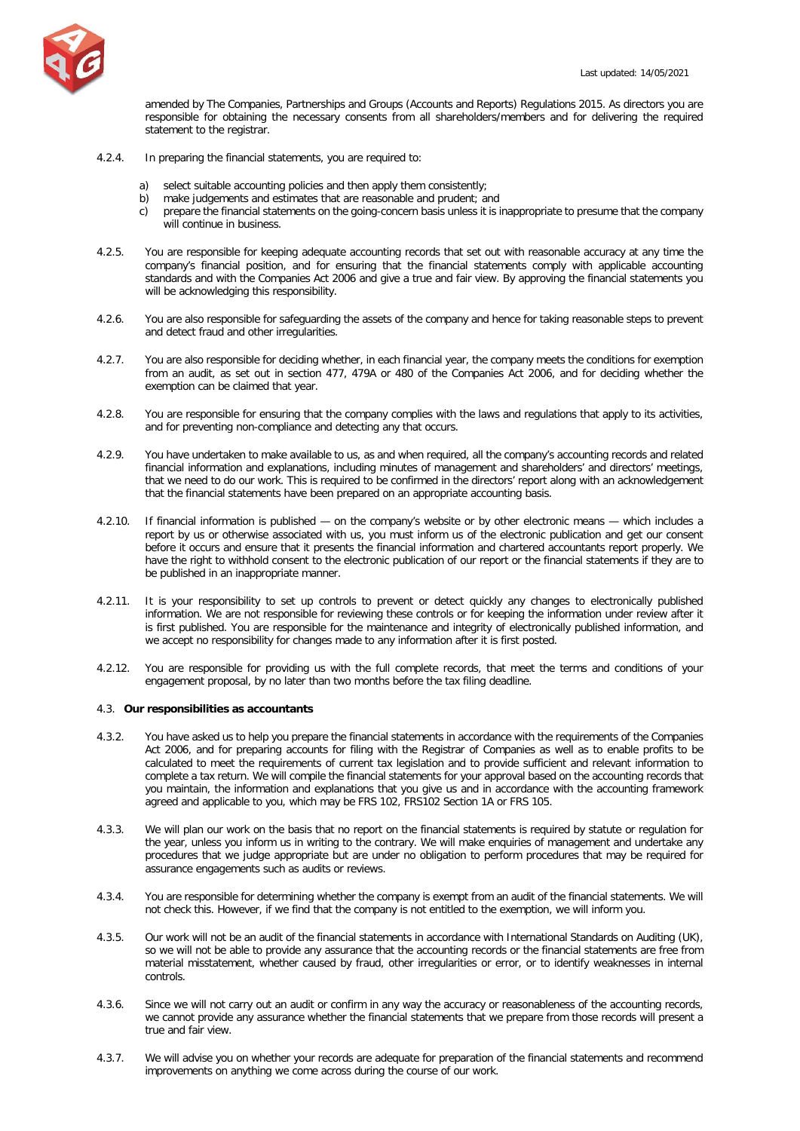

amended by The Companies, Partnerships and Groups (Accounts and Reports) Regulations 2015. As directors you are responsible for obtaining the necessary consents from all shareholders/members and for delivering the required statement to the registrar.

- 4.2.4. In preparing the financial statements, you are required to:
	- a) select suitable accounting policies and then apply them consistently;
	- b) make judgements and estimates that are reasonable and prudent; and
	- c) prepare the financial statements on the going-concern basis unless it is inappropriate to presume that the company will continue in business.
- 4.2.5. You are responsible for keeping adequate accounting records that set out with reasonable accuracy at any time the company's financial position, and for ensuring that the financial statements comply with applicable accounting standards and with the Companies Act 2006 and give a true and fair view. By approving the financial statements you will be acknowledging this responsibility.
- 4.2.6. You are also responsible for safeguarding the assets of the company and hence for taking reasonable steps to prevent and detect fraud and other irregularities.
- 4.2.7. You are also responsible for deciding whether, in each financial year, the company meets the conditions for exemption from an audit, as set out in section 477, 479A or 480 of the Companies Act 2006, and for deciding whether the exemption can be claimed that year.
- 4.2.8. You are responsible for ensuring that the company complies with the laws and regulations that apply to its activities, and for preventing non-compliance and detecting any that occurs.
- 4.2.9. You have undertaken to make available to us, as and when required, all the company's accounting records and related financial information and explanations, including minutes of management and shareholders' and directors' meetings, that we need to do our work. This is required to be confirmed in the directors' report along with an acknowledgement that the financial statements have been prepared on an appropriate accounting basis.
- 4.2.10. If financial information is published on the company's website or by other electronic means which includes a report by us or otherwise associated with us, you must inform us of the electronic publication and get our consent before it occurs and ensure that it presents the financial information and chartered accountants report properly. We have the right to withhold consent to the electronic publication of our report or the financial statements if they are to be published in an inappropriate manner.
- 4.2.11. It is your responsibility to set up controls to prevent or detect quickly any changes to electronically published information. We are not responsible for reviewing these controls or for keeping the information under review after it is first published. You are responsible for the maintenance and integrity of electronically published information, and we accept no responsibility for changes made to any information after it is first posted.
- 4.2.12. You are responsible for providing us with the full complete records, that meet the terms and conditions of your engagement proposal, by no later than two months before the tax filing deadline.

## 4.3. **Our responsibilities as accountants**

- 4.3.2. You have asked us to help you prepare the financial statements in accordance with the requirements of the Companies Act 2006, and for preparing accounts for filing with the Registrar of Companies as well as to enable profits to be calculated to meet the requirements of current tax legislation and to provide sufficient and relevant information to complete a tax return. We will compile the financial statements for your approval based on the accounting records that you maintain, the information and explanations that you give us and in accordance with the accounting framework agreed and applicable to you, which may be FRS 102, FRS102 Section 1A or FRS 105.
- 4.3.3. We will plan our work on the basis that no report on the financial statements is required by statute or regulation for the year, unless you inform us in writing to the contrary. We will make enquiries of management and undertake any procedures that we judge appropriate but are under no obligation to perform procedures that may be required for assurance engagements such as audits or reviews.
- 4.3.4. You are responsible for determining whether the company is exempt from an audit of the financial statements. We will not check this. However, if we find that the company is not entitled to the exemption, we will inform you.
- 4.3.5. Our work will not be an audit of the financial statements in accordance with International Standards on Auditing (UK), so we will not be able to provide any assurance that the accounting records or the financial statements are free from material misstatement, whether caused by fraud, other irregularities or error, or to identify weaknesses in internal controls.
- 4.3.6. Since we will not carry out an audit or confirm in any way the accuracy or reasonableness of the accounting records, we cannot provide any assurance whether the financial statements that we prepare from those records will present a true and fair view.
- 4.3.7. We will advise you on whether your records are adequate for preparation of the financial statements and recommend improvements on anything we come across during the course of our work.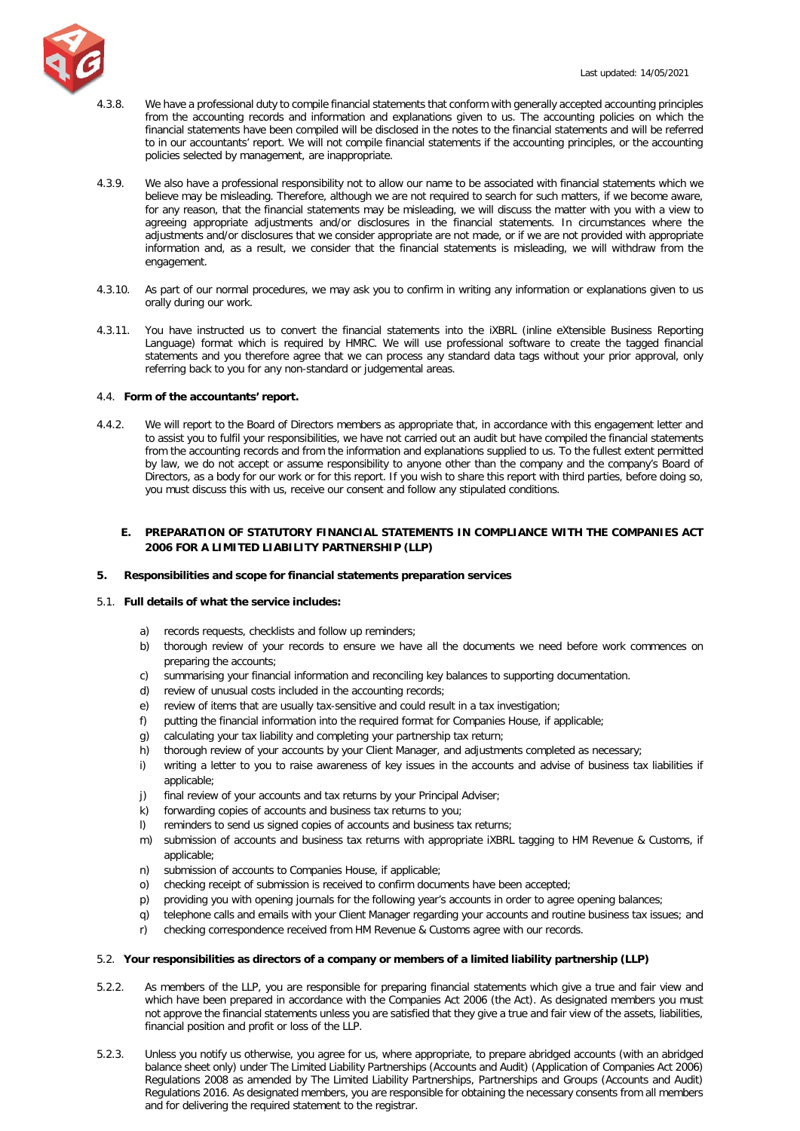

- 4.3.8. We have a professional duty to compile financial statements that conform with generally accepted accounting principles from the accounting records and information and explanations given to us. The accounting policies on which the financial statements have been compiled will be disclosed in the notes to the financial statements and will be referred to in our accountants' report. We will not compile financial statements if the accounting principles, or the accounting policies selected by management, are inappropriate.
- 4.3.9. We also have a professional responsibility not to allow our name to be associated with financial statements which we believe may be misleading. Therefore, although we are not required to search for such matters, if we become aware, for any reason, that the financial statements may be misleading, we will discuss the matter with you with a view to agreeing appropriate adjustments and/or disclosures in the financial statements. In circumstances where the adjustments and/or disclosures that we consider appropriate are not made, or if we are not provided with appropriate information and, as a result, we consider that the financial statements is misleading, we will withdraw from the engagement.
- 4.3.10. As part of our normal procedures, we may ask you to confirm in writing any information or explanations given to us orally during our work.
- 4.3.11. You have instructed us to convert the financial statements into the iXBRL (inline eXtensible Business Reporting Language) format which is required by HMRC. We will use professional software to create the tagged financial statements and you therefore agree that we can process any standard data tags without your prior approval, only referring back to you for any non-standard or judgemental areas.

## 4.4. **Form of the accountants' report.**

4.4.2. We will report to the Board of Directors members as appropriate that, in accordance with this engagement letter and to assist you to fulfil your responsibilities, we have not carried out an audit but have compiled the financial statements from the accounting records and from the information and explanations supplied to us. To the fullest extent permitted by law, we do not accept or assume responsibility to anyone other than the company and the company's Board of Directors, as a body for our work or for this report. If you wish to share this report with third parties, before doing so, you must discuss this with us, receive our consent and follow any stipulated conditions.

# <span id="page-5-0"></span>**E. PREPARATION OF STATUTORY FINANCIAL STATEMENTS IN COMPLIANCE WITH THE COMPANIES ACT 2006 FOR A LIMITED LIABILITY PARTNERSHIP (LLP)**

## **5. Responsibilities and scope for financial statements preparation services**

# 5.1. **Full details of what the service includes:**

- a) records requests, checklists and follow up reminders;
- b) thorough review of your records to ensure we have all the documents we need before work commences on preparing the accounts;
- c) summarising your financial information and reconciling key balances to supporting documentation.
- d) review of unusual costs included in the accounting records;
- e) review of items that are usually tax-sensitive and could result in a tax investigation;
- f) putting the financial information into the required format for Companies House, if applicable;
- g) calculating your tax liability and completing your partnership tax return;
- h) thorough review of your accounts by your Client Manager, and adjustments completed as necessary;
- i) writing a letter to you to raise awareness of key issues in the accounts and advise of business tax liabilities if applicable;
- j) final review of your accounts and tax returns by your Principal Adviser;
- k) forwarding copies of accounts and business tax returns to you;
- l) reminders to send us signed copies of accounts and business tax returns;
- m) submission of accounts and business tax returns with appropriate iXBRL tagging to HM Revenue & Customs, if applicable;
- n) submission of accounts to Companies House, if applicable;
- o) checking receipt of submission is received to confirm documents have been accepted;
- p) providing you with opening journals for the following year's accounts in order to agree opening balances;
- q) telephone calls and emails with your Client Manager regarding your accounts and routine business tax issues; and
- r) checking correspondence received from HM Revenue & Customs agree with our records.

# 5.2. **Your responsibilities as directors of a company or members of a limited liability partnership (LLP)**

- 5.2.2. As members of the LLP, you are responsible for preparing financial statements which give a true and fair view and which have been prepared in accordance with the Companies Act 2006 (the Act). As designated members you must not approve the financial statements unless you are satisfied that they give a true and fair view of the assets, liabilities, financial position and profit or loss of the LLP.
- 5.2.3. Unless you notify us otherwise, you agree for us, where appropriate, to prepare abridged accounts (with an abridged balance sheet only) under The Limited Liability Partnerships (Accounts and Audit) (Application of Companies Act 2006) Regulations 2008 as amended by The Limited Liability Partnerships, Partnerships and Groups (Accounts and Audit) Regulations 2016. As designated members, you are responsible for obtaining the necessary consents from all members and for delivering the required statement to the registrar.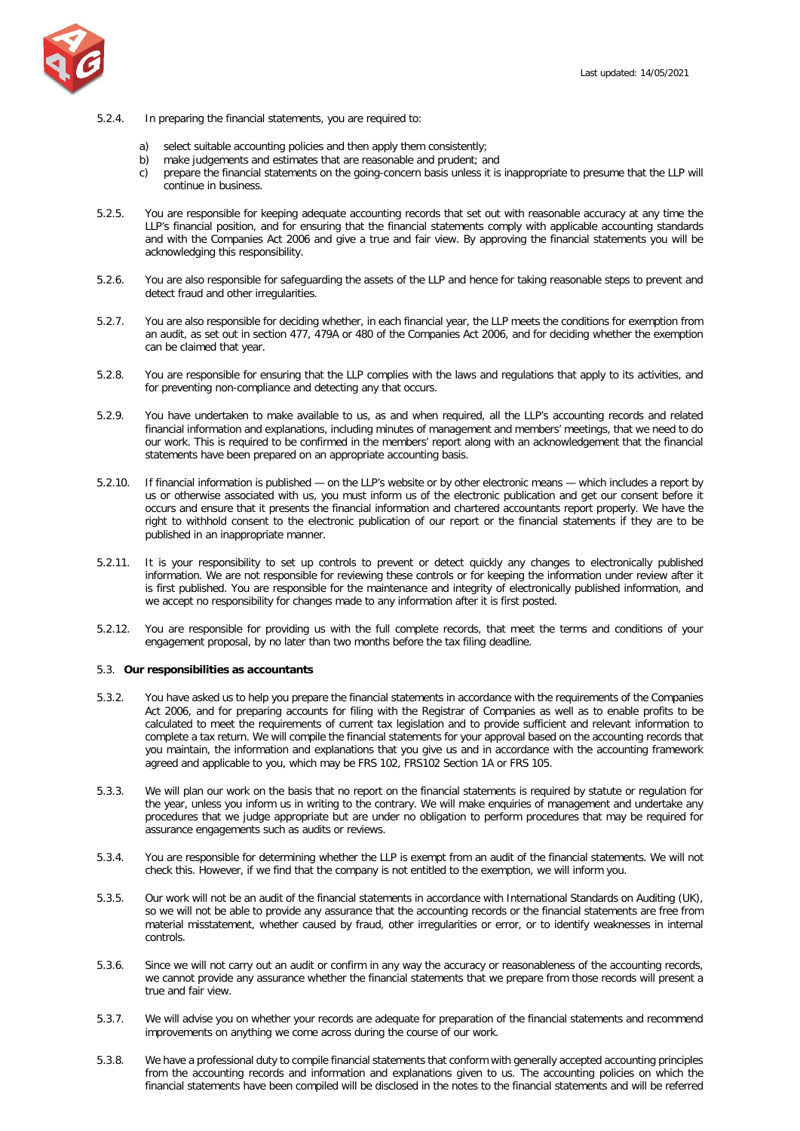

- 5.2.4. In preparing the financial statements, you are required to:
	- a) select suitable accounting policies and then apply them consistently;
	- b) make judgements and estimates that are reasonable and prudent; and
	- c) prepare the financial statements on the going-concern basis unless it is inappropriate to presume that the LLP will continue in business.
- 5.2.5. You are responsible for keeping adequate accounting records that set out with reasonable accuracy at any time the LLP's financial position, and for ensuring that the financial statements comply with applicable accounting standards and with the Companies Act 2006 and give a true and fair view. By approving the financial statements you will be acknowledging this responsibility.
- 5.2.6. You are also responsible for safeguarding the assets of the LLP and hence for taking reasonable steps to prevent and detect fraud and other irregularities.
- 5.2.7. You are also responsible for deciding whether, in each financial year, the LLP meets the conditions for exemption from an audit, as set out in section 477, 479A or 480 of the Companies Act 2006, and for deciding whether the exemption can be claimed that year.
- 5.2.8. You are responsible for ensuring that the LLP complies with the laws and regulations that apply to its activities, and for preventing non-compliance and detecting any that occurs.
- 5.2.9. You have undertaken to make available to us, as and when required, all the LLP's accounting records and related financial information and explanations, including minutes of management and members' meetings, that we need to do our work. This is required to be confirmed in the members' report along with an acknowledgement that the financial statements have been prepared on an appropriate accounting basis.
- 5.2.10. If financial information is published on the LLP's website or by other electronic means which includes a report by us or otherwise associated with us, you must inform us of the electronic publication and get our consent before it occurs and ensure that it presents the financial information and chartered accountants report properly. We have the right to withhold consent to the electronic publication of our report or the financial statements if they are to be published in an inappropriate manner.
- 5.2.11. It is your responsibility to set up controls to prevent or detect quickly any changes to electronically published information. We are not responsible for reviewing these controls or for keeping the information under review after it is first published. You are responsible for the maintenance and integrity of electronically published information, and we accept no responsibility for changes made to any information after it is first posted.
- 5.2.12. You are responsible for providing us with the full complete records, that meet the terms and conditions of your engagement proposal, by no later than two months before the tax filing deadline.

## 5.3. **Our responsibilities as accountants**

- 5.3.2. You have asked us to help you prepare the financial statements in accordance with the requirements of the Companies Act 2006, and for preparing accounts for filing with the Registrar of Companies as well as to enable profits to be calculated to meet the requirements of current tax legislation and to provide sufficient and relevant information to complete a tax return. We will compile the financial statements for your approval based on the accounting records that you maintain, the information and explanations that you give us and in accordance with the accounting framework agreed and applicable to you, which may be FRS 102, FRS102 Section 1A or FRS 105.
- 5.3.3. We will plan our work on the basis that no report on the financial statements is required by statute or regulation for the year, unless you inform us in writing to the contrary. We will make enquiries of management and undertake any procedures that we judge appropriate but are under no obligation to perform procedures that may be required for assurance engagements such as audits or reviews.
- 5.3.4. You are responsible for determining whether the LLP is exempt from an audit of the financial statements. We will not check this. However, if we find that the company is not entitled to the exemption, we will inform you.
- 5.3.5. Our work will not be an audit of the financial statements in accordance with International Standards on Auditing (UK), so we will not be able to provide any assurance that the accounting records or the financial statements are free from material misstatement, whether caused by fraud, other irregularities or error, or to identify weaknesses in internal controls.
- 5.3.6. Since we will not carry out an audit or confirm in any way the accuracy or reasonableness of the accounting records, we cannot provide any assurance whether the financial statements that we prepare from those records will present a true and fair view.
- 5.3.7. We will advise you on whether your records are adequate for preparation of the financial statements and recommend improvements on anything we come across during the course of our work.
- 5.3.8. We have a professional duty to compile financial statements that conform with generally accepted accounting principles from the accounting records and information and explanations given to us. The accounting policies on which the financial statements have been compiled will be disclosed in the notes to the financial statements and will be referred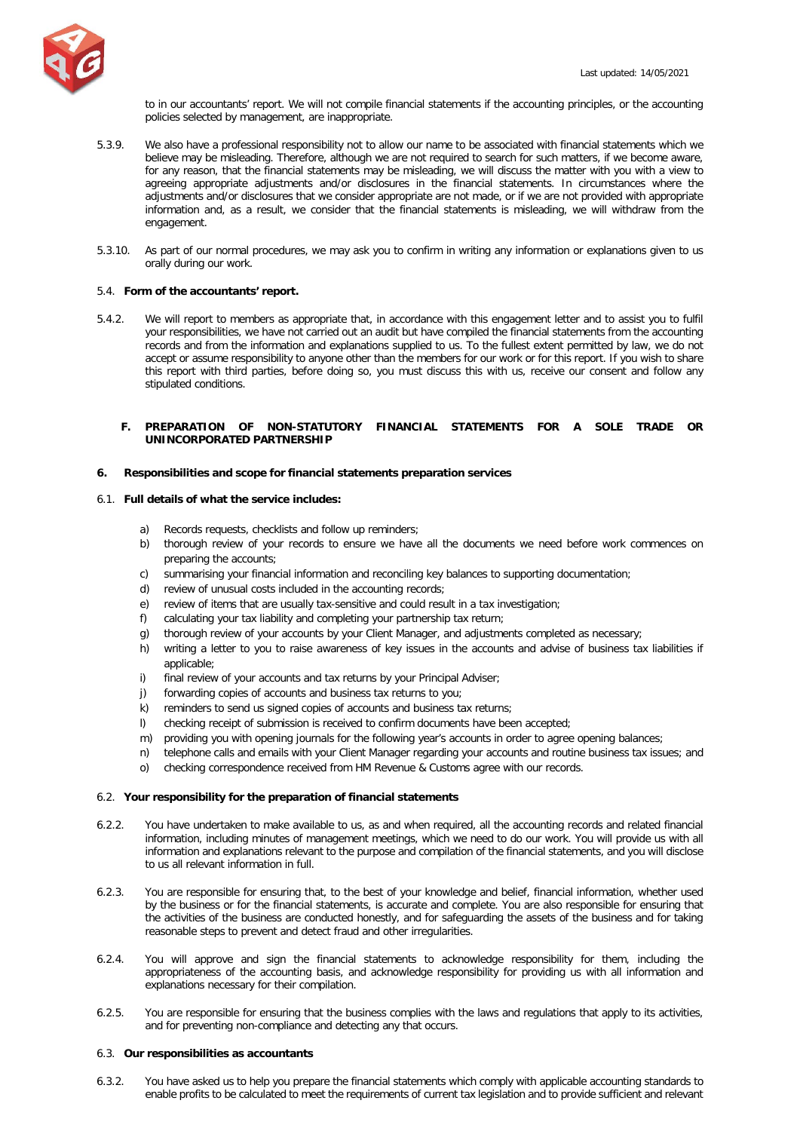to in our accountants' report. We will not compile financial statements if the accounting principles, or the accounting policies selected by management, are inappropriate.

- 5.3.9. We also have a professional responsibility not to allow our name to be associated with financial statements which we believe may be misleading. Therefore, although we are not required to search for such matters, if we become aware, for any reason, that the financial statements may be misleading, we will discuss the matter with you with a view to agreeing appropriate adjustments and/or disclosures in the financial statements. In circumstances where the adjustments and/or disclosures that we consider appropriate are not made, or if we are not provided with appropriate information and, as a result, we consider that the financial statements is misleading, we will withdraw from the engagement.
- 5.3.10. As part of our normal procedures, we may ask you to confirm in writing any information or explanations given to us orally during our work.

## 5.4. **Form of the accountants' report.**

5.4.2. We will report to members as appropriate that, in accordance with this engagement letter and to assist you to fulfil your responsibilities, we have not carried out an audit but have compiled the financial statements from the accounting records and from the information and explanations supplied to us. To the fullest extent permitted by law, we do not accept or assume responsibility to anyone other than the members for our work or for this report. If you wish to share this report with third parties, before doing so, you must discuss this with us, receive our consent and follow any stipulated conditions.

## <span id="page-7-0"></span>**F. PREPARATION OF NON-STATUTORY FINANCIAL STATEMENTS FOR A SOLE TRADE OR UNINCORPORATED PARTNERSHIP**

#### **6. Responsibilities and scope for financial statements preparation services**

#### 6.1. **Full details of what the service includes:**

- a) Records requests, checklists and follow up reminders;
- b) thorough review of your records to ensure we have all the documents we need before work commences on preparing the accounts;
- c) summarising your financial information and reconciling key balances to supporting documentation;
- d) review of unusual costs included in the accounting records;
- e) review of items that are usually tax-sensitive and could result in a tax investigation;
- f) calculating your tax liability and completing your partnership tax return;
- g) thorough review of your accounts by your Client Manager, and adjustments completed as necessary;
- h) writing a letter to you to raise awareness of key issues in the accounts and advise of business tax liabilities if applicable;
- i) final review of your accounts and tax returns by your Principal Adviser;
- j) forwarding copies of accounts and business tax returns to you;
- k) reminders to send us signed copies of accounts and business tax returns;
- l) checking receipt of submission is received to confirm documents have been accepted;
- m) providing you with opening journals for the following year's accounts in order to agree opening balances;
- n) telephone calls and emails with your Client Manager regarding your accounts and routine business tax issues; and
- o) checking correspondence received from HM Revenue & Customs agree with our records.

#### 6.2. **Your responsibility for the preparation of financial statements**

- 6.2.2. You have undertaken to make available to us, as and when required, all the accounting records and related financial information, including minutes of management meetings, which we need to do our work. You will provide us with all information and explanations relevant to the purpose and compilation of the financial statements, and you will disclose to us all relevant information in full.
- 6.2.3. You are responsible for ensuring that, to the best of your knowledge and belief, financial information, whether used by the business or for the financial statements, is accurate and complete. You are also responsible for ensuring that the activities of the business are conducted honestly, and for safeguarding the assets of the business and for taking reasonable steps to prevent and detect fraud and other irregularities.
- 6.2.4. You will approve and sign the financial statements to acknowledge responsibility for them, including the appropriateness of the accounting basis, and acknowledge responsibility for providing us with all information and explanations necessary for their compilation.
- 6.2.5. You are responsible for ensuring that the business complies with the laws and regulations that apply to its activities, and for preventing non-compliance and detecting any that occurs.

#### 6.3. **Our responsibilities as accountants**

6.3.2. You have asked us to help you prepare the financial statements which comply with applicable accounting standards to enable profits to be calculated to meet the requirements of current tax legislation and to provide sufficient and relevant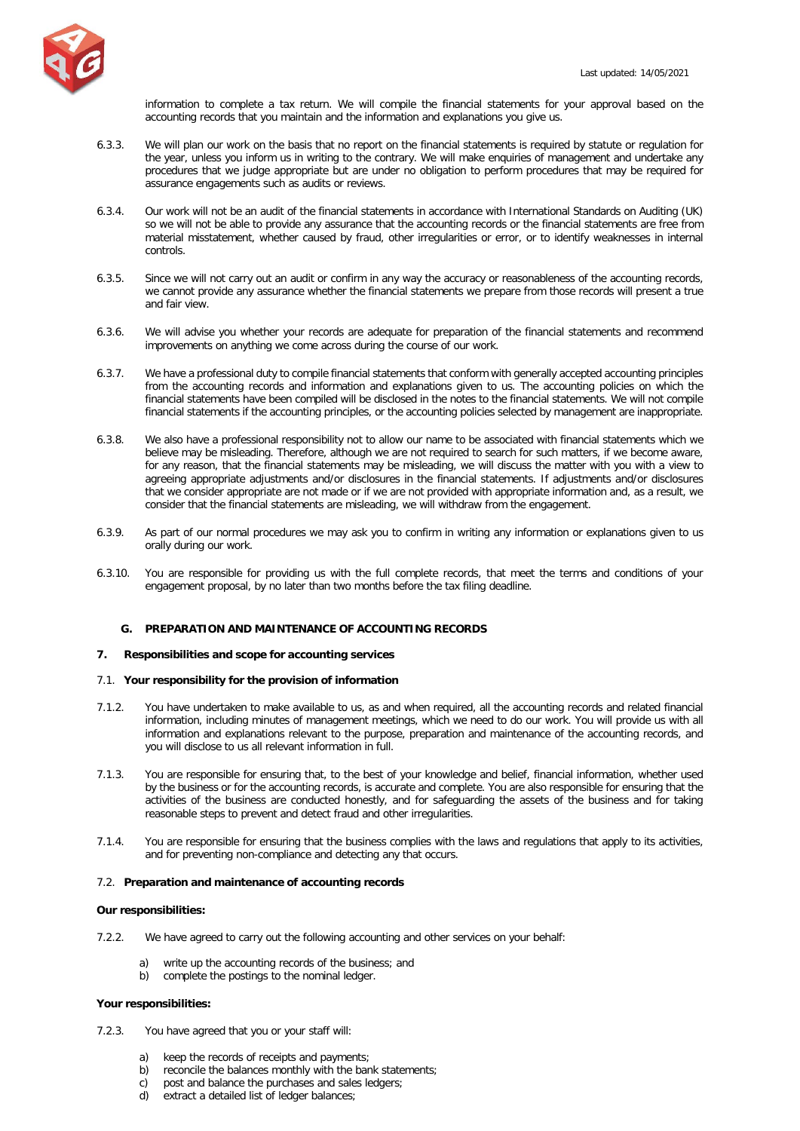

information to complete a tax return. We will compile the financial statements for your approval based on the accounting records that you maintain and the information and explanations you give us.

- 6.3.3. We will plan our work on the basis that no report on the financial statements is required by statute or regulation for the year, unless you inform us in writing to the contrary. We will make enquiries of management and undertake any procedures that we judge appropriate but are under no obligation to perform procedures that may be required for assurance engagements such as audits or reviews.
- 6.3.4. Our work will not be an audit of the financial statements in accordance with International Standards on Auditing (UK) so we will not be able to provide any assurance that the accounting records or the financial statements are free from material misstatement, whether caused by fraud, other irregularities or error, or to identify weaknesses in internal controls.
- 6.3.5. Since we will not carry out an audit or confirm in any way the accuracy or reasonableness of the accounting records, we cannot provide any assurance whether the financial statements we prepare from those records will present a true and fair view.
- 6.3.6. We will advise you whether your records are adequate for preparation of the financial statements and recommend improvements on anything we come across during the course of our work.
- 6.3.7. We have a professional duty to compile financial statements that conform with generally accepted accounting principles from the accounting records and information and explanations given to us. The accounting policies on which the financial statements have been compiled will be disclosed in the notes to the financial statements. We will not compile financial statements if the accounting principles, or the accounting policies selected by management are inappropriate.
- 6.3.8. We also have a professional responsibility not to allow our name to be associated with financial statements which we believe may be misleading. Therefore, although we are not required to search for such matters, if we become aware, for any reason, that the financial statements may be misleading, we will discuss the matter with you with a view to agreeing appropriate adjustments and/or disclosures in the financial statements. If adjustments and/or disclosures that we consider appropriate are not made or if we are not provided with appropriate information and, as a result, we consider that the financial statements are misleading, we will withdraw from the engagement.
- 6.3.9. As part of our normal procedures we may ask you to confirm in writing any information or explanations given to us orally during our work.
- 6.3.10. You are responsible for providing us with the full complete records, that meet the terms and conditions of your engagement proposal, by no later than two months before the tax filing deadline.

## <span id="page-8-0"></span>**G. PREPARATION AND MAINTENANCE OF ACCOUNTING RECORDS**

## **7. Responsibilities and scope for accounting services**

## 7.1. **Your responsibility for the provision of information**

- 7.1.2. You have undertaken to make available to us, as and when required, all the accounting records and related financial information, including minutes of management meetings, which we need to do our work. You will provide us with all information and explanations relevant to the purpose, preparation and maintenance of the accounting records, and you will disclose to us all relevant information in full.
- 7.1.3. You are responsible for ensuring that, to the best of your knowledge and belief, financial information, whether used by the business or for the accounting records, is accurate and complete. You are also responsible for ensuring that the activities of the business are conducted honestly, and for safeguarding the assets of the business and for taking reasonable steps to prevent and detect fraud and other irregularities.
- 7.1.4. You are responsible for ensuring that the business complies with the laws and regulations that apply to its activities, and for preventing non-compliance and detecting any that occurs.

## 7.2. **Preparation and maintenance of accounting records**

## **Our responsibilities:**

- 7.2.2. We have agreed to carry out the following accounting and other services on your behalf:
	- a) write up the accounting records of the business; and
	- b) complete the postings to the nominal ledger.

## **Your responsibilities:**

- 7.2.3. You have agreed that you or your staff will:
	- a) keep the records of receipts and payments;
	- b) reconcile the balances monthly with the bank statements;
	- c) post and balance the purchases and sales ledgers;
	- d) extract a detailed list of ledger balances;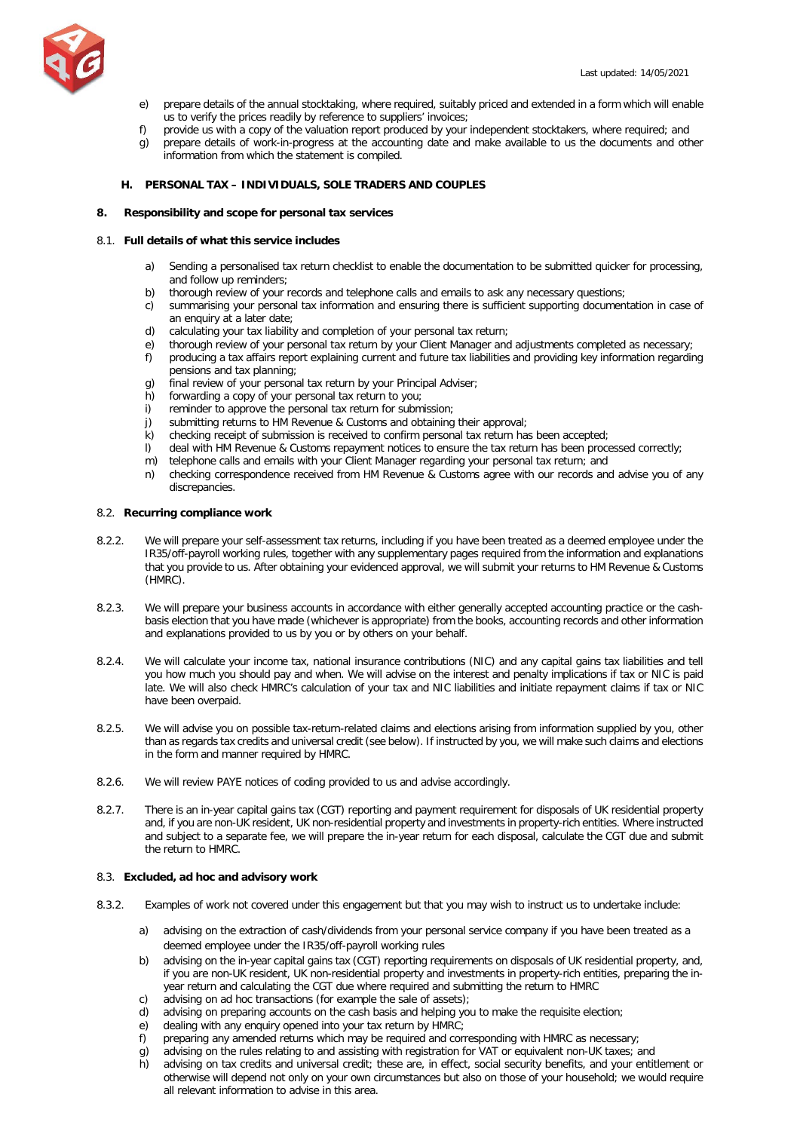

- e) prepare details of the annual stocktaking, where required, suitably priced and extended in a form which will enable us to verify the prices readily by reference to suppliers' invoices;
- f) provide us with a copy of the valuation report produced by your independent stocktakers, where required; and
- g) prepare details of work-in-progress at the accounting date and make available to us the documents and other information from which the statement is compiled.

# <span id="page-9-0"></span>**H. PERSONAL TAX – INDIVIDUALS, SOLE TRADERS AND COUPLES**

# **8. Responsibility and scope for personal tax services**

# 8.1. **Full details of what this service includes**

- a) Sending a personalised tax return checklist to enable the documentation to be submitted quicker for processing, and follow up reminders;
- b) thorough review of your records and telephone calls and emails to ask any necessary questions;
- c) summarising your personal tax information and ensuring there is sufficient supporting documentation in case of an enquiry at a later date;
- d) calculating your tax liability and completion of your personal tax return;
- e) thorough review of your personal tax return by your Client Manager and adjustments completed as necessary;
- f) producing a tax affairs report explaining current and future tax liabilities and providing key information regarding pensions and tax planning;
- g) final review of your personal tax return by your Principal Adviser;<br>b) forwarding a copy of your personal tax return to you:
- forwarding a copy of your personal tax return to you;
- i) reminder to approve the personal tax return for submission;<br>i) submitting returns to HM Revenue & Customs and obtaining<br>k) checking receipt of submission is received to confirm person
- submitting returns to HM Revenue & Customs and obtaining their approval;
- checking receipt of submission is received to confirm personal tax return has been accepted;
- l) deal with HM Revenue & Customs repayment notices to ensure the tax return has been processed correctly;
- m) telephone calls and emails with your Client Manager regarding your personal tax return; and
- n) checking correspondence received from HM Revenue & Customs agree with our records and advise you of any discrepancies.

# 8.2. **Recurring compliance work**

- 8.2.2. We will prepare your self-assessment tax returns, including if you have been treated as a deemed employee under the IR35/off-payroll working rules, together with any supplementary pages required from the information and explanations that you provide to us. After obtaining your evidenced approval, we will submit your returns to HM Revenue & Customs (HMRC).
- 8.2.3. We will prepare your business accounts in accordance with either generally accepted accounting practice or the cashbasis election that you have made (whichever is appropriate) from the books, accounting records and other information and explanations provided to us by you or by others on your behalf.
- 8.2.4. We will calculate your income tax, national insurance contributions (NIC) and any capital gains tax liabilities and tell you how much you should pay and when. We will advise on the interest and penalty implications if tax or NIC is paid late. We will also check HMRC's calculation of your tax and NIC liabilities and initiate repayment claims if tax or NIC have been overpaid.
- 8.2.5. We will advise you on possible tax-return-related claims and elections arising from information supplied by you, other than as regards tax credits and universal credit (see below). If instructed by you, we will make such claims and elections in the form and manner required by HMRC.
- 8.2.6. We will review PAYE notices of coding provided to us and advise accordingly.
- 8.2.7. There is an in-year capital gains tax (CGT) reporting and payment requirement for disposals of UK residential property and, if you are non-UK resident, UK non-residential property and investments in property-rich entities. Where instructed and subject to a separate fee, we will prepare the in-year return for each disposal, calculate the CGT due and submit the return to HMRC.

## 8.3. **Excluded, ad hoc and advisory work**

- 8.3.2. Examples of work not covered under this engagement but that you may wish to instruct us to undertake include:
	- a) advising on the extraction of cash/dividends from your personal service company if you have been treated as a deemed employee under the IR35/off-payroll working rules
	- b) advising on the in-year capital gains tax (CGT) reporting requirements on disposals of UK residential property, and, if you are non-UK resident, UK non-residential property and investments in property-rich entities, preparing the inyear return and calculating the CGT due where required and submitting the return to HMRC
	- c) advising on ad hoc transactions (for example the sale of assets);
	- d) advising on preparing accounts on the cash basis and helping you to make the requisite election;
	- e) dealing with any enquiry opened into your tax return by HMRC;
	- f) preparing any amended returns which may be required and corresponding with HMRC as necessary;
	- g) advising on the rules relating to and assisting with registration for VAT or equivalent non-UK taxes; and
	- h) advising on tax credits and universal credit; these are, in effect, social security benefits, and your entitlement or otherwise will depend not only on your own circumstances but also on those of your household; we would require all relevant information to advise in this area.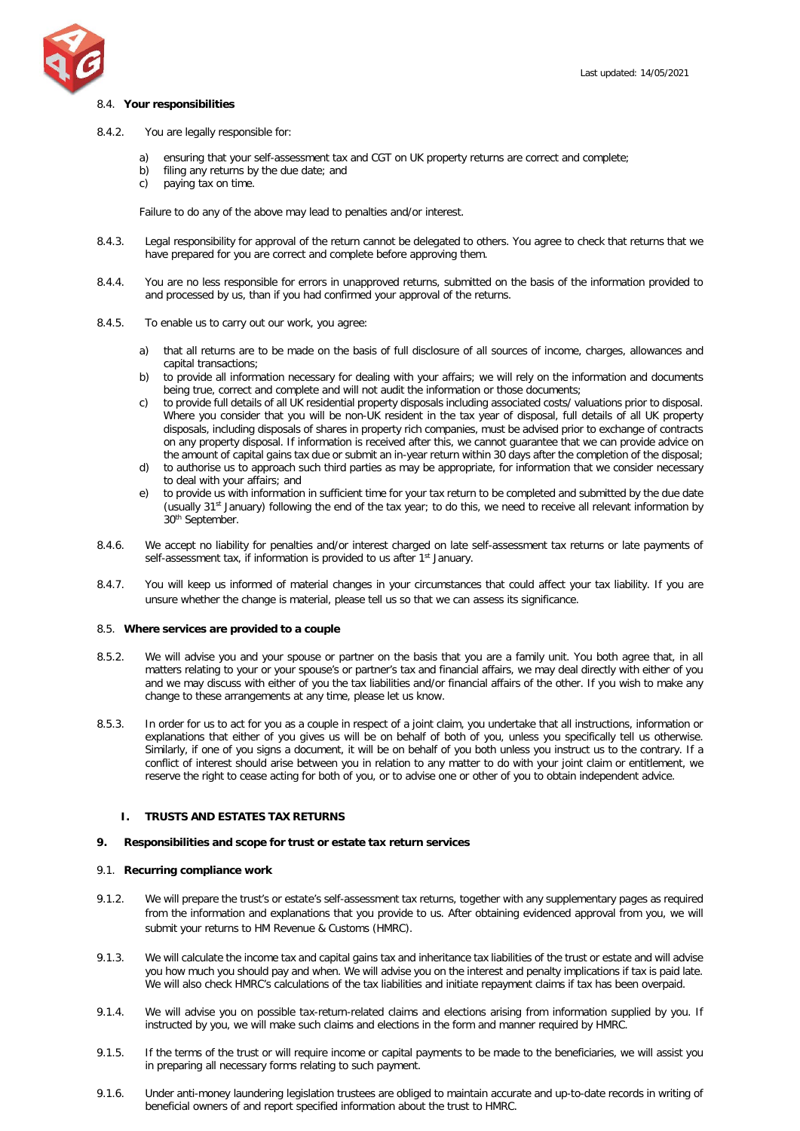

### 8.4. **Your responsibilities**

- 8.4.2. You are legally responsible for:
	- a) ensuring that your self-assessment tax and CGT on UK property returns are correct and complete;
	- b) filing any returns by the due date; and
	- c) paying tax on time.

Failure to do any of the above may lead to penalties and/or interest.

- 8.4.3. Legal responsibility for approval of the return cannot be delegated to others. You agree to check that returns that we have prepared for you are correct and complete before approving them.
- 8.4.4. You are no less responsible for errors in unapproved returns, submitted on the basis of the information provided to and processed by us, than if you had confirmed your approval of the returns.
- 8.4.5. To enable us to carry out our work, you agree:
	- a) that all returns are to be made on the basis of full disclosure of all sources of income, charges, allowances and capital transactions;
	- b) to provide all information necessary for dealing with your affairs; we will rely on the information and documents being true, correct and complete and will not audit the information or those documents;
	- c) to provide full details of all UK residential property disposals including associated costs/ valuations prior to disposal. Where you consider that you will be non-UK resident in the tax year of disposal, full details of all UK property disposals, including disposals of shares in property rich companies, must be advised prior to exchange of contracts on any property disposal. If information is received after this, we cannot guarantee that we can provide advice on the amount of capital gains tax due or submit an in-year return within 30 days after the completion of the disposal;
	- d) to authorise us to approach such third parties as may be appropriate, for information that we consider necessary to deal with your affairs; and
	- e) to provide us with information in sufficient time for your tax return to be completed and submitted by the due date (usually 31st January) following the end of the tax year; to do this, we need to receive all relevant information by 30th September.
- 8.4.6. We accept no liability for penalties and/or interest charged on late self-assessment tax returns or late payments of self-assessment tax, if information is provided to us after 1<sup>st</sup> January.
- 8.4.7. You will keep us informed of material changes in your circumstances that could affect your tax liability. If you are unsure whether the change is material, please tell us so that we can assess its significance.

#### 8.5. **Where services are provided to a couple**

- 8.5.2. We will advise you and your spouse or partner on the basis that you are a family unit. You both agree that, in all matters relating to your or your spouse's or partner's tax and financial affairs, we may deal directly with either of you and we may discuss with either of you the tax liabilities and/or financial affairs of the other. If you wish to make any change to these arrangements at any time, please let us know.
- 8.5.3. In order for us to act for you as a couple in respect of a joint claim, you undertake that all instructions, information or explanations that either of you gives us will be on behalf of both of you, unless you specifically tell us otherwise. Similarly, if one of you signs a document, it will be on behalf of you both unless you instruct us to the contrary. If a conflict of interest should arise between you in relation to any matter to do with your joint claim or entitlement, we reserve the right to cease acting for both of you, or to advise one or other of you to obtain independent advice.

## <span id="page-10-0"></span>**I. TRUSTS AND ESTATES TAX RETURNS**

#### **9. Responsibilities and scope for trust or estate tax return services**

## 9.1. **Recurring compliance work**

- 9.1.2. We will prepare the trust's or estate's self-assessment tax returns, together with any supplementary pages as required from the information and explanations that you provide to us. After obtaining evidenced approval from you, we will submit your returns to HM Revenue & Customs (HMRC).
- 9.1.3. We will calculate the income tax and capital gains tax and inheritance tax liabilities of the trust or estate and will advise you how much you should pay and when. We will advise you on the interest and penalty implications if tax is paid late. We will also check HMRC's calculations of the tax liabilities and initiate repayment claims if tax has been overpaid.
- 9.1.4. We will advise you on possible tax-return-related claims and elections arising from information supplied by you. If instructed by you, we will make such claims and elections in the form and manner required by HMRC.
- 9.1.5. If the terms of the trust or will require income or capital payments to be made to the beneficiaries, we will assist you in preparing all necessary forms relating to such payment.
- 9.1.6. Under anti-money laundering legislation trustees are obliged to maintain accurate and up-to-date records in writing of beneficial owners of and report specified information about the trust to HMRC.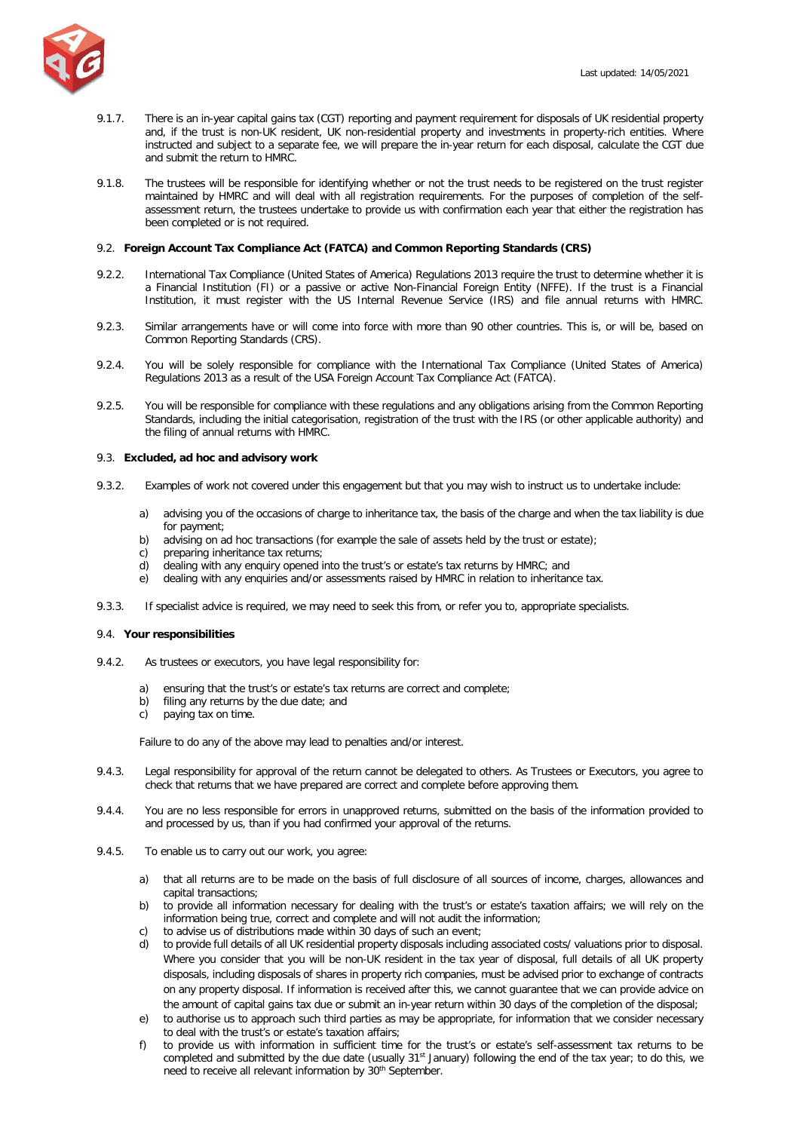

- 9.1.7. There is an in-year capital gains tax (CGT) reporting and payment requirement for disposals of UK residential property and, if the trust is non-UK resident, UK non-residential property and investments in property-rich entities. Where instructed and subject to a separate fee, we will prepare the in-year return for each disposal, calculate the CGT due and submit the return to HMRC.
- 9.1.8. The trustees will be responsible for identifying whether or not the trust needs to be registered on the trust register maintained by HMRC and will deal with all registration requirements. For the purposes of completion of the selfassessment return, the trustees undertake to provide us with confirmation each year that either the registration has been completed or is not required.

## 9.2. **Foreign Account Tax Compliance Act (FATCA) and Common Reporting Standards (CRS)**

- 9.2.2. International Tax Compliance (United States of America) Regulations 2013 require the trust to determine whether it is a Financial Institution (FI) or a passive or active Non-Financial Foreign Entity (NFFE). If the trust is a Financial Institution, it must register with the US Internal Revenue Service (IRS) and file annual returns with HMRC.
- 9.2.3. Similar arrangements have or will come into force with more than 90 other countries. This is, or will be, based on Common Reporting Standards (CRS).
- 9.2.4. You will be solely responsible for compliance with the International Tax Compliance (United States of America) Regulations 2013 as a result of the USA Foreign Account Tax Compliance Act (FATCA).
- 9.2.5. You will be responsible for compliance with these regulations and any obligations arising from the Common Reporting Standards, including the initial categorisation, registration of the trust with the IRS (or other applicable authority) and the filing of annual returns with HMRC.

#### 9.3. **Excluded, ad hoc and advisory work**

- 9.3.2. Examples of work not covered under this engagement but that you may wish to instruct us to undertake include:
	- a) advising you of the occasions of charge to inheritance tax, the basis of the charge and when the tax liability is due for payment;
	- b) advising on ad hoc transactions (for example the sale of assets held by the trust or estate);
	- c) preparing inheritance tax returns;
	- d) dealing with any enquiry opened into the trust's or estate's tax returns by HMRC; and
	- e) dealing with any enquiries and/or assessments raised by HMRC in relation to inheritance tax.
- 9.3.3. If specialist advice is required, we may need to seek this from, or refer you to, appropriate specialists.

## 9.4. **Your responsibilities**

- 9.4.2. As trustees or executors, you have legal responsibility for:
	- a) ensuring that the trust's or estate's tax returns are correct and complete;
	- b) filing any returns by the due date; and
	- c) paying tax on time.

Failure to do any of the above may lead to penalties and/or interest.

- 9.4.3. Legal responsibility for approval of the return cannot be delegated to others. As Trustees or Executors, you agree to check that returns that we have prepared are correct and complete before approving them.
- 9.4.4. You are no less responsible for errors in unapproved returns, submitted on the basis of the information provided to and processed by us, than if you had confirmed your approval of the returns.
- 9.4.5. To enable us to carry out our work, you agree:
	- a) that all returns are to be made on the basis of full disclosure of all sources of income, charges, allowances and capital transactions;
	- b) to provide all information necessary for dealing with the trust's or estate's taxation affairs; we will rely on the information being true, correct and complete and will not audit the information;
	- c) to advise us of distributions made within 30 days of such an event;
	- d) to provide full details of all UK residential property disposals including associated costs/ valuations prior to disposal. Where you consider that you will be non-UK resident in the tax year of disposal, full details of all UK property disposals, including disposals of shares in property rich companies, must be advised prior to exchange of contracts on any property disposal. If information is received after this, we cannot guarantee that we can provide advice on the amount of capital gains tax due or submit an in-year return within 30 days of the completion of the disposal;
	- e) to authorise us to approach such third parties as may be appropriate, for information that we consider necessary to deal with the trust's or estate's taxation affairs;
	- f) to provide us with information in sufficient time for the trust's or estate's self-assessment tax returns to be completed and submitted by the due date (usually 31<sup>st</sup> January) following the end of the tax year; to do this, we need to receive all relevant information by 30<sup>th</sup> September.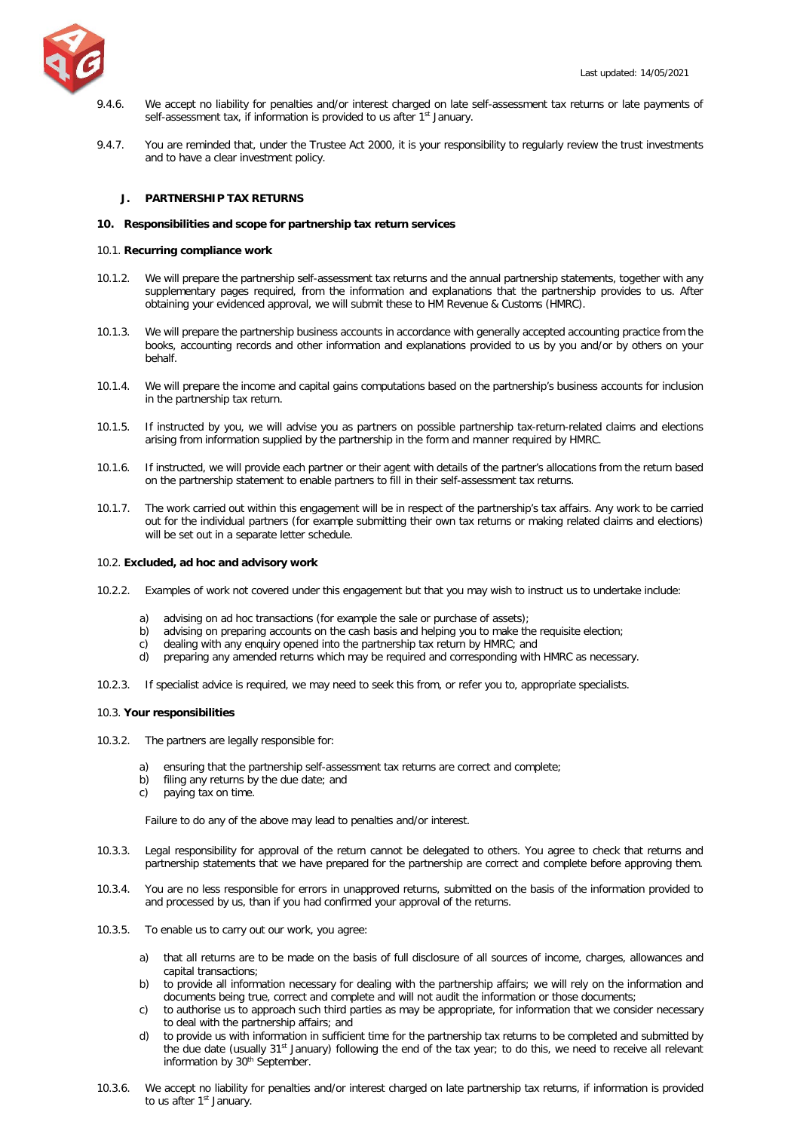

- 9.4.6. We accept no liability for penalties and/or interest charged on late self-assessment tax returns or late payments of self-assessment tax, if information is provided to us after 1<sup>st</sup> January.
- 9.4.7. You are reminded that, under the Trustee Act 2000, it is your responsibility to regularly review the trust investments and to have a clear investment policy.

## <span id="page-12-0"></span>**J. PARTNERSHIP TAX RETURNS**

### **10. Responsibilities and scope for partnership tax return services**

### 10.1. **Recurring compliance work**

- 10.1.2. We will prepare the partnership self-assessment tax returns and the annual partnership statements, together with any supplementary pages required, from the information and explanations that the partnership provides to us. After obtaining your evidenced approval, we will submit these to HM Revenue & Customs (HMRC).
- 10.1.3. We will prepare the partnership business accounts in accordance with generally accepted accounting practice from the books, accounting records and other information and explanations provided to us by you and/or by others on your behalf.
- 10.1.4. We will prepare the income and capital gains computations based on the partnership's business accounts for inclusion in the partnership tax return.
- 10.1.5. If instructed by you, we will advise you as partners on possible partnership tax-return-related claims and elections arising from information supplied by the partnership in the form and manner required by HMRC.
- 10.1.6. If instructed, we will provide each partner or their agent with details of the partner's allocations from the return based on the partnership statement to enable partners to fill in their self-assessment tax returns.
- 10.1.7. The work carried out within this engagement will be in respect of the partnership's tax affairs. Any work to be carried out for the individual partners (for example submitting their own tax returns or making related claims and elections) will be set out in a separate letter schedule.

### 10.2. **Excluded, ad hoc and advisory work**

- 10.2.2. Examples of work not covered under this engagement but that you may wish to instruct us to undertake include:
	- a) advising on ad hoc transactions (for example the sale or purchase of assets);
	- b) advising on preparing accounts on the cash basis and helping you to make the requisite election;
	- c) dealing with any enquiry opened into the partnership tax return by HMRC; and
	- d) preparing any amended returns which may be required and corresponding with HMRC as necessary.
- 10.2.3. If specialist advice is required, we may need to seek this from, or refer you to, appropriate specialists.

# 10.3. **Your responsibilities**

- 10.3.2. The partners are legally responsible for:
	- a) ensuring that the partnership self-assessment tax returns are correct and complete;
	- b) filing any returns by the due date; and
	- c) paying tax on time.

Failure to do any of the above may lead to penalties and/or interest.

- 10.3.3. Legal responsibility for approval of the return cannot be delegated to others. You agree to check that returns and partnership statements that we have prepared for the partnership are correct and complete before approving them.
- 10.3.4. You are no less responsible for errors in unapproved returns, submitted on the basis of the information provided to and processed by us, than if you had confirmed your approval of the returns.
- 10.3.5. To enable us to carry out our work, you agree:
	- a) that all returns are to be made on the basis of full disclosure of all sources of income, charges, allowances and capital transactions;
	- b) to provide all information necessary for dealing with the partnership affairs; we will rely on the information and documents being true, correct and complete and will not audit the information or those documents;
	- c) to authorise us to approach such third parties as may be appropriate, for information that we consider necessary to deal with the partnership affairs; and
	- to provide us with information in sufficient time for the partnership tax returns to be completed and submitted by the due date (usually 31st January) following the end of the tax year; to do this, we need to receive all relevant information by 30<sup>th</sup> September.
- 10.3.6. We accept no liability for penalties and/or interest charged on late partnership tax returns, if information is provided to us after 1<sup>st</sup> January.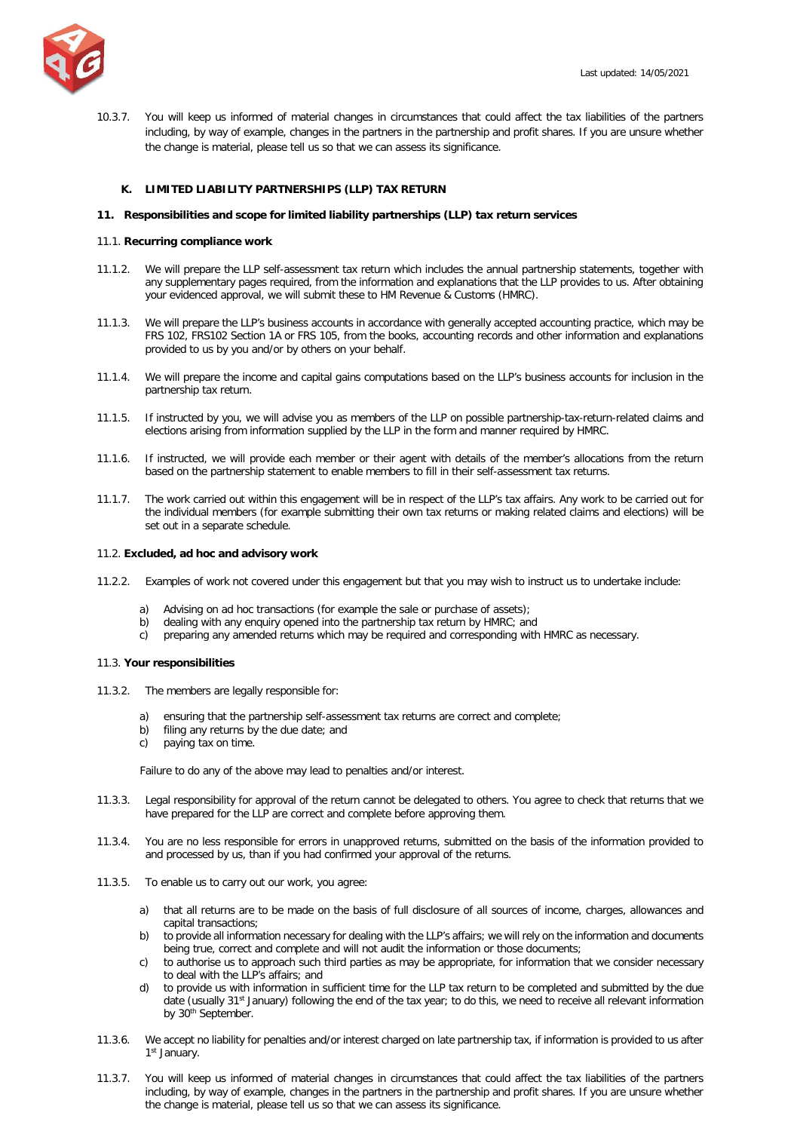

10.3.7. You will keep us informed of material changes in circumstances that could affect the tax liabilities of the partners including, by way of example, changes in the partners in the partnership and profit shares. If you are unsure whether the change is material, please tell us so that we can assess its significance.

## <span id="page-13-0"></span>**K. LIMITED LIABILITY PARTNERSHIPS (LLP) TAX RETURN**

### **11. Responsibilities and scope for limited liability partnerships (LLP) tax return services**

## 11.1. **Recurring compliance work**

- 11.1.2. We will prepare the LLP self-assessment tax return which includes the annual partnership statements, together with any supplementary pages required, from the information and explanations that the LLP provides to us. After obtaining your evidenced approval, we will submit these to HM Revenue & Customs (HMRC).
- 11.1.3. We will prepare the LLP's business accounts in accordance with generally accepted accounting practice, which may be FRS 102, FRS102 Section 1A or FRS 105, from the books, accounting records and other information and explanations provided to us by you and/or by others on your behalf.
- 11.1.4. We will prepare the income and capital gains computations based on the LLP's business accounts for inclusion in the partnership tax return.
- 11.1.5. If instructed by you, we will advise you as members of the LLP on possible partnership-tax-return-related claims and elections arising from information supplied by the LLP in the form and manner required by HMRC.
- 11.1.6. If instructed, we will provide each member or their agent with details of the member's allocations from the return based on the partnership statement to enable members to fill in their self-assessment tax returns.
- 11.1.7. The work carried out within this engagement will be in respect of the LLP's tax affairs. Any work to be carried out for the individual members (for example submitting their own tax returns or making related claims and elections) will be set out in a separate schedule.

## 11.2. **Excluded, ad hoc and advisory work**

- 11.2.2. Examples of work not covered under this engagement but that you may wish to instruct us to undertake include:
	- a) Advising on ad hoc transactions (for example the sale or purchase of assets);
	- b) dealing with any enquiry opened into the partnership tax return by HMRC; and
	- c) preparing any amended returns which may be required and corresponding with HMRC as necessary.

#### 11.3. **Your responsibilities**

- 11.3.2. The members are legally responsible for:
	- a) ensuring that the partnership self-assessment tax returns are correct and complete;
	- b) filing any returns by the due date; and
	- c) paying tax on time.

Failure to do any of the above may lead to penalties and/or interest.

- 11.3.3. Legal responsibility for approval of the return cannot be delegated to others. You agree to check that returns that we have prepared for the LLP are correct and complete before approving them.
- 11.3.4. You are no less responsible for errors in unapproved returns, submitted on the basis of the information provided to and processed by us, than if you had confirmed your approval of the returns.
- 11.3.5. To enable us to carry out our work, you agree:
	- a) that all returns are to be made on the basis of full disclosure of all sources of income, charges, allowances and capital transactions;
	- b) to provide all information necessary for dealing with the LLP's affairs; we will rely on the information and documents being true, correct and complete and will not audit the information or those documents;
	- c) to authorise us to approach such third parties as may be appropriate, for information that we consider necessary to deal with the LLP's affairs; and
	- d) to provide us with information in sufficient time for the LLP tax return to be completed and submitted by the due date (usually 31<sup>st</sup> January) following the end of the tax year; to do this, we need to receive all relevant information by 30<sup>th</sup> September.
- 11.3.6. We accept no liability for penalties and/or interest charged on late partnership tax, if information is provided to us after 1st January.
- 11.3.7. You will keep us informed of material changes in circumstances that could affect the tax liabilities of the partners including, by way of example, changes in the partners in the partnership and profit shares. If you are unsure whether the change is material, please tell us so that we can assess its significance.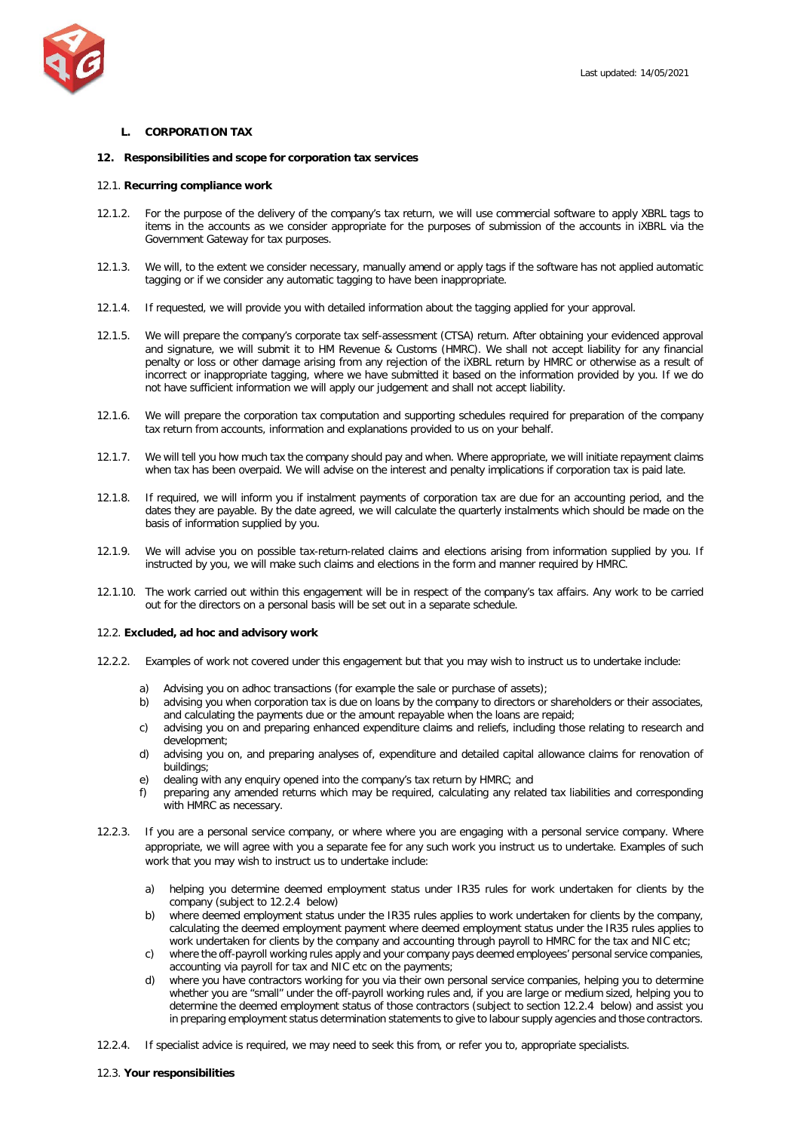

## <span id="page-14-0"></span>**L. CORPORATION TAX**

## **12. Responsibilities and scope for corporation tax services**

## 12.1. **Recurring compliance work**

- 12.1.2. For the purpose of the delivery of the company's tax return, we will use commercial software to apply XBRL tags to items in the accounts as we consider appropriate for the purposes of submission of the accounts in iXBRL via the Government Gateway for tax purposes.
- 12.1.3. We will, to the extent we consider necessary, manually amend or apply tags if the software has not applied automatic tagging or if we consider any automatic tagging to have been inappropriate.
- 12.1.4. If requested, we will provide you with detailed information about the tagging applied for your approval.
- 12.1.5. We will prepare the company's corporate tax self-assessment (CTSA) return. After obtaining your evidenced approval and signature, we will submit it to HM Revenue & Customs (HMRC). We shall not accept liability for any financial penalty or loss or other damage arising from any rejection of the iXBRL return by HMRC or otherwise as a result of incorrect or inappropriate tagging, where we have submitted it based on the information provided by you. If we do not have sufficient information we will apply our judgement and shall not accept liability.
- 12.1.6. We will prepare the corporation tax computation and supporting schedules required for preparation of the company tax return from accounts, information and explanations provided to us on your behalf.
- 12.1.7. We will tell you how much tax the company should pay and when. Where appropriate, we will initiate repayment claims when tax has been overpaid. We will advise on the interest and penalty implications if corporation tax is paid late.
- 12.1.8. If required, we will inform you if instalment payments of corporation tax are due for an accounting period, and the dates they are payable. By the date agreed, we will calculate the quarterly instalments which should be made on the basis of information supplied by you.
- 12.1.9. We will advise you on possible tax-return-related claims and elections arising from information supplied by you. If instructed by you, we will make such claims and elections in the form and manner required by HMRC.
- 12.1.10. The work carried out within this engagement will be in respect of the company's tax affairs. Any work to be carried out for the directors on a personal basis will be set out in a separate schedule.

#### 12.2. **Excluded, ad hoc and advisory work**

- 12.2.2. Examples of work not covered under this engagement but that you may wish to instruct us to undertake include:
	- a) Advising you on adhoc transactions (for example the sale or purchase of assets);
	- b) advising you when corporation tax is due on loans by the company to directors or shareholders or their associates, and calculating the payments due or the amount repayable when the loans are repaid;
	- c) advising you on and preparing enhanced expenditure claims and reliefs, including those relating to research and development;
	- d) advising you on, and preparing analyses of, expenditure and detailed capital allowance claims for renovation of buildings;
	- e) dealing with any enquiry opened into the company's tax return by HMRC; and
	- f) preparing any amended returns which may be required, calculating any related tax liabilities and corresponding with HMRC as necessary.
- 12.2.3. If you are a personal service company, or where where you are engaging with a personal service company. Where appropriate, we will agree with you a separate fee for any such work you instruct us to undertake. Examples of such work that you may wish to instruct us to undertake include:
	- a) helping you determine deemed employment status under IR35 rules for work undertaken for clients by the company (subject to 12.2.4 below)
	- b) where deemed employment status under the IR35 rules applies to work undertaken for clients by the company, calculating the deemed employment payment where deemed employment status under the IR35 rules applies to work undertaken for clients by the company and accounting through payroll to HMRC for the tax and NIC etc;
	- c) where the off-payroll working rules apply and your company pays deemed employees' personal service companies, accounting via payroll for tax and NIC etc on the payments;
	- d) where you have contractors working for you via their own personal service companies, helping you to determine whether you are "small" under the off-payroll working rules and, if you are large or medium sized, helping you to determine the deemed employment status of those contractors (subject to section 12.2.4 below) and assist you in preparing employment status determination statements to give to labour supply agencies and those contractors.
- 12.2.4. If specialist advice is required, we may need to seek this from, or refer you to, appropriate specialists.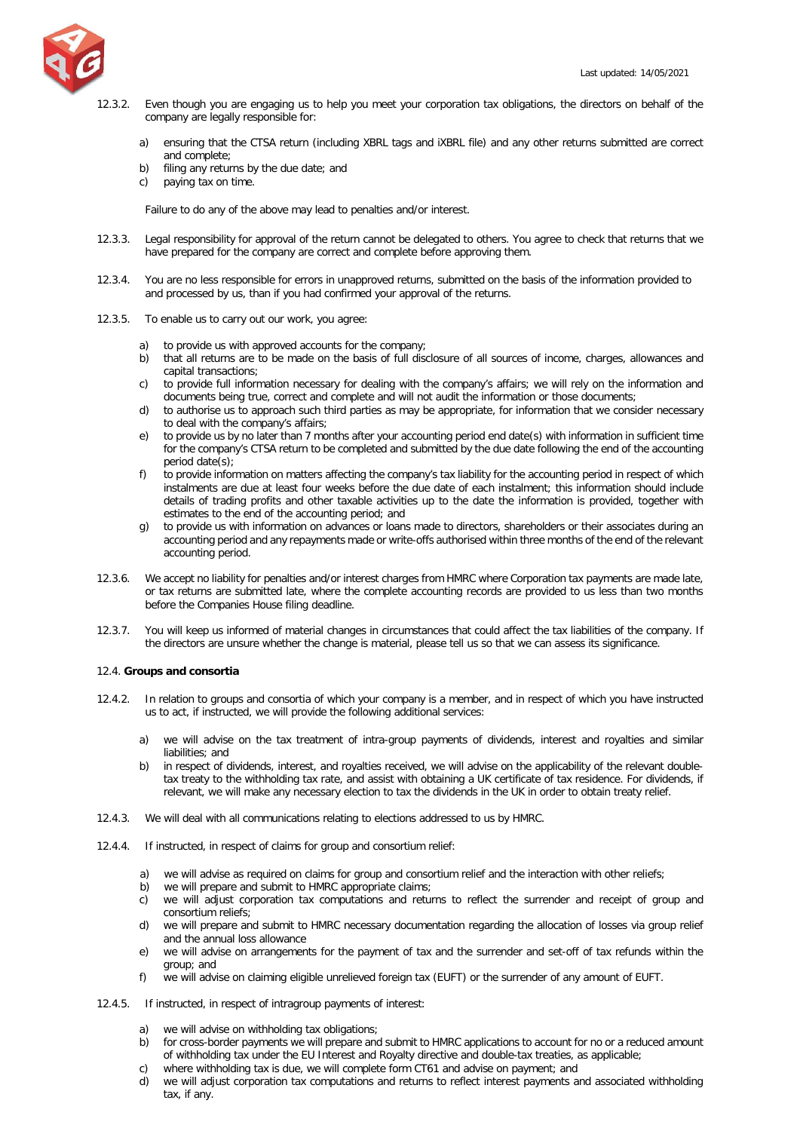

- 12.3.2. Even though you are engaging us to help you meet your corporation tax obligations, the directors on behalf of the company are legally responsible for:
	- a) ensuring that the CTSA return (including XBRL tags and iXBRL file) and any other returns submitted are correct and complete;
	- b) filing any returns by the due date; and
	- c) paying tax on time.

Failure to do any of the above may lead to penalties and/or interest.

- 12.3.3. Legal responsibility for approval of the return cannot be delegated to others. You agree to check that returns that we have prepared for the company are correct and complete before approving them.
- 12.3.4. You are no less responsible for errors in unapproved returns, submitted on the basis of the information provided to and processed by us, than if you had confirmed your approval of the returns.
- 12.3.5. To enable us to carry out our work, you agree:
	- a) to provide us with approved accounts for the company;
	- b) that all returns are to be made on the basis of full disclosure of all sources of income, charges, allowances and capital transactions;
	- c) to provide full information necessary for dealing with the company's affairs; we will rely on the information and documents being true, correct and complete and will not audit the information or those documents;
	- d) to authorise us to approach such third parties as may be appropriate, for information that we consider necessary to deal with the company's affairs;
	- e) to provide us by no later than 7 months after your accounting period end date(s) with information in sufficient time for the company's CTSA return to be completed and submitted by the due date following the end of the accounting period date(s);
	- f) to provide information on matters affecting the company's tax liability for the accounting period in respect of which instalments are due at least four weeks before the due date of each instalment; this information should include details of trading profits and other taxable activities up to the date the information is provided, together with estimates to the end of the accounting period; and
	- g) to provide us with information on advances or loans made to directors, shareholders or their associates during an accounting period and any repayments made or write-offs authorised within three months of the end of the relevant accounting period.
- 12.3.6. We accept no liability for penalties and/or interest charges from HMRC where Corporation tax payments are made late, or tax returns are submitted late, where the complete accounting records are provided to us less than two months before the Companies House filing deadline.
- 12.3.7. You will keep us informed of material changes in circumstances that could affect the tax liabilities of the company. If the directors are unsure whether the change is material, please tell us so that we can assess its significance.

## 12.4. **Groups and consortia**

- 12.4.2. In relation to groups and consortia of which your company is a member, and in respect of which you have instructed us to act, if instructed, we will provide the following additional services:
	- a) we will advise on the tax treatment of intra-group payments of dividends, interest and royalties and similar liabilities; and
	- b) in respect of dividends, interest, and royalties received, we will advise on the applicability of the relevant doubletax treaty to the withholding tax rate, and assist with obtaining a UK certificate of tax residence. For dividends, if relevant, we will make any necessary election to tax the dividends in the UK in order to obtain treaty relief.
- 12.4.3. We will deal with all communications relating to elections addressed to us by HMRC.
- 12.4.4. If instructed, in respect of claims for group and consortium relief:
	- a) we will advise as required on claims for group and consortium relief and the interaction with other reliefs;
	- b) we will prepare and submit to HMRC appropriate claims:
	- c) we will adjust corporation tax computations and returns to reflect the surrender and receipt of group and consortium reliefs;
	- d) we will prepare and submit to HMRC necessary documentation regarding the allocation of losses via group relief and the annual loss allowance
	- e) we will advise on arrangements for the payment of tax and the surrender and set-off of tax refunds within the group; and
	- f) we will advise on claiming eligible unrelieved foreign tax (EUFT) or the surrender of any amount of EUFT.
- 12.4.5. If instructed, in respect of intragroup payments of interest:
	- a) we will advise on withholding tax obligations;
	- b) for cross-border payments we will prepare and submit to HMRC applications to account for no or a reduced amount of withholding tax under the EU Interest and Royalty directive and double-tax treaties, as applicable;
	- c) where withholding tax is due, we will complete form CT61 and advise on payment; and
	- d) we will adjust corporation tax computations and returns to reflect interest payments and associated withholding tax, if any.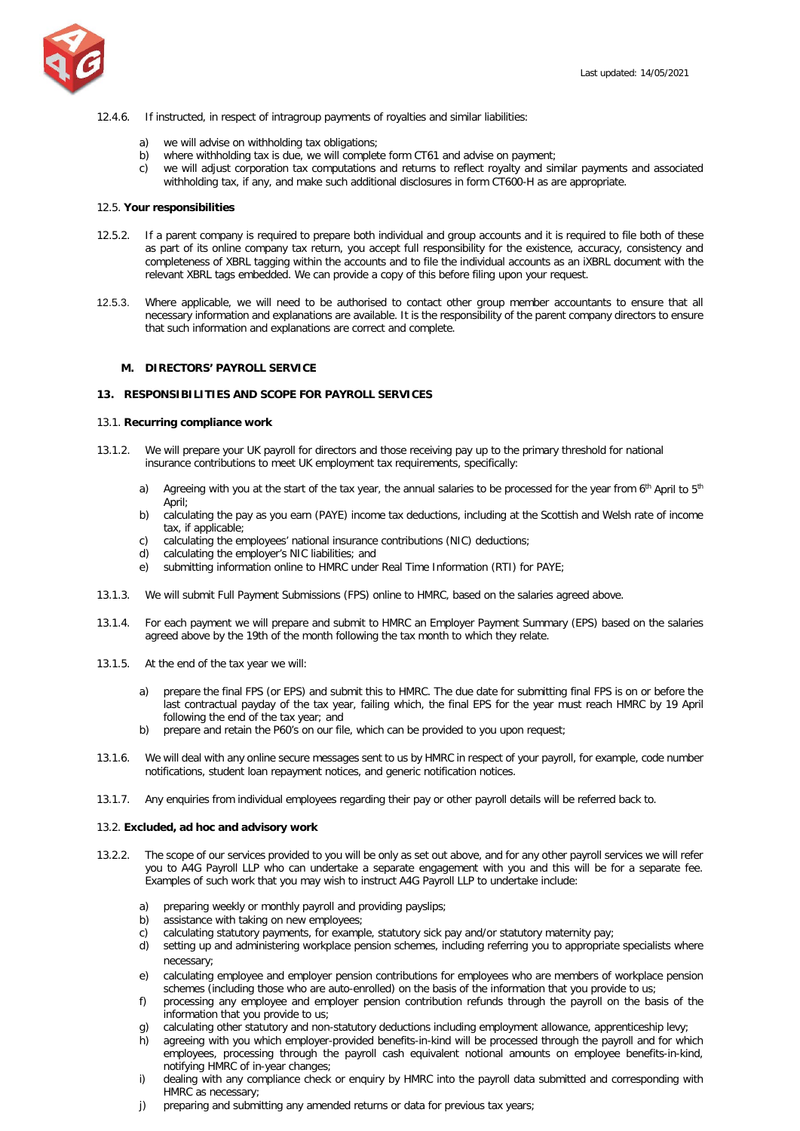

### 12.4.6. If instructed, in respect of intragroup payments of royalties and similar liabilities:

- a) we will advise on withholding tax obligations;
- b) where withholding tax is due, we will complete form CT61 and advise on payment;
- c) we will adjust corporation tax computations and returns to reflect royalty and similar payments and associated withholding tax, if any, and make such additional disclosures in form CT600-H as are appropriate.

#### 12.5. **Your responsibilities**

- 12.5.2. If a parent company is required to prepare both individual and group accounts and it is required to file both of these as part of its online company tax return, you accept full responsibility for the existence, accuracy, consistency and completeness of XBRL tagging within the accounts and to file the individual accounts as an iXBRL document with the relevant XBRL tags embedded. We can provide a copy of this before filing upon your request.
- 12.5.3. Where applicable, we will need to be authorised to contact other group member accountants to ensure that all necessary information and explanations are available. It is the responsibility of the parent company directors to ensure that such information and explanations are correct and complete.

#### <span id="page-16-0"></span>**M. DIRECTORS' PAYROLL SERVICE**

#### **13. RESPONSIBILITIES AND SCOPE FOR PAYROLL SERVICES**

## 13.1. **Recurring compliance work**

- 13.1.2. We will prepare your UK payroll for directors and those receiving pay up to the primary threshold for national insurance contributions to meet UK employment tax requirements, specifically:
	- a) Agreeing with you at the start of the tax year, the annual salaries to be processed for the year from  $6<sup>th</sup>$  April to  $5<sup>th</sup>$ April;
	- b) calculating the pay as you earn (PAYE) income tax deductions, including at the Scottish and Welsh rate of income tax, if applicable;
	- c) calculating the employees' national insurance contributions (NIC) deductions;
	- d) calculating the employer's NIC liabilities; and
	- e) submitting information online to HMRC under Real Time Information (RTI) for PAYE;
- 13.1.3. We will submit Full Payment Submissions (FPS) online to HMRC, based on the salaries agreed above.
- 13.1.4. For each payment we will prepare and submit to HMRC an Employer Payment Summary (EPS) based on the salaries agreed above by the 19th of the month following the tax month to which they relate.
- 13.1.5. At the end of the tax year we will:
	- a) prepare the final FPS (or EPS) and submit this to HMRC. The due date for submitting final FPS is on or before the last contractual payday of the tax year, failing which, the final EPS for the year must reach HMRC by 19 April following the end of the tax year; and
	- b) prepare and retain the P60's on our file, which can be provided to you upon request;
- 13.1.6. We will deal with any online secure messages sent to us by HMRC in respect of your payroll, for example, code number notifications, student loan repayment notices, and generic notification notices.
- 13.1.7. Any enquiries from individual employees regarding their pay or other payroll details will be referred back to.

#### 13.2. **Excluded, ad hoc and advisory work**

- 13.2.2. The scope of our services provided to you will be only as set out above, and for any other payroll services we will refer you to A4G Payroll LLP who can undertake a separate engagement with you and this will be for a separate fee. Examples of such work that you may wish to instruct A4G Payroll LLP to undertake include:
	- a) preparing weekly or monthly payroll and providing payslips;
	- b) assistance with taking on new employees;
	- c) calculating statutory payments, for example, statutory sick pay and/or statutory maternity pay;
	- d) setting up and administering workplace pension schemes, including referring you to appropriate specialists where necessary;
	- e) calculating employee and employer pension contributions for employees who are members of workplace pension schemes (including those who are auto-enrolled) on the basis of the information that you provide to us;
	- f) processing any employee and employer pension contribution refunds through the payroll on the basis of the information that you provide to us;
	- calculating other statutory and non-statutory deductions including employment allowance, apprenticeship levy;
	- h) agreeing with you which employer-provided benefits-in-kind will be processed through the payroll and for which employees, processing through the payroll cash equivalent notional amounts on employee benefits-in-kind, notifying HMRC of in-year changes;
	- i) dealing with any compliance check or enquiry by HMRC into the payroll data submitted and corresponding with HMRC as necessary;
	- j) preparing and submitting any amended returns or data for previous tax years;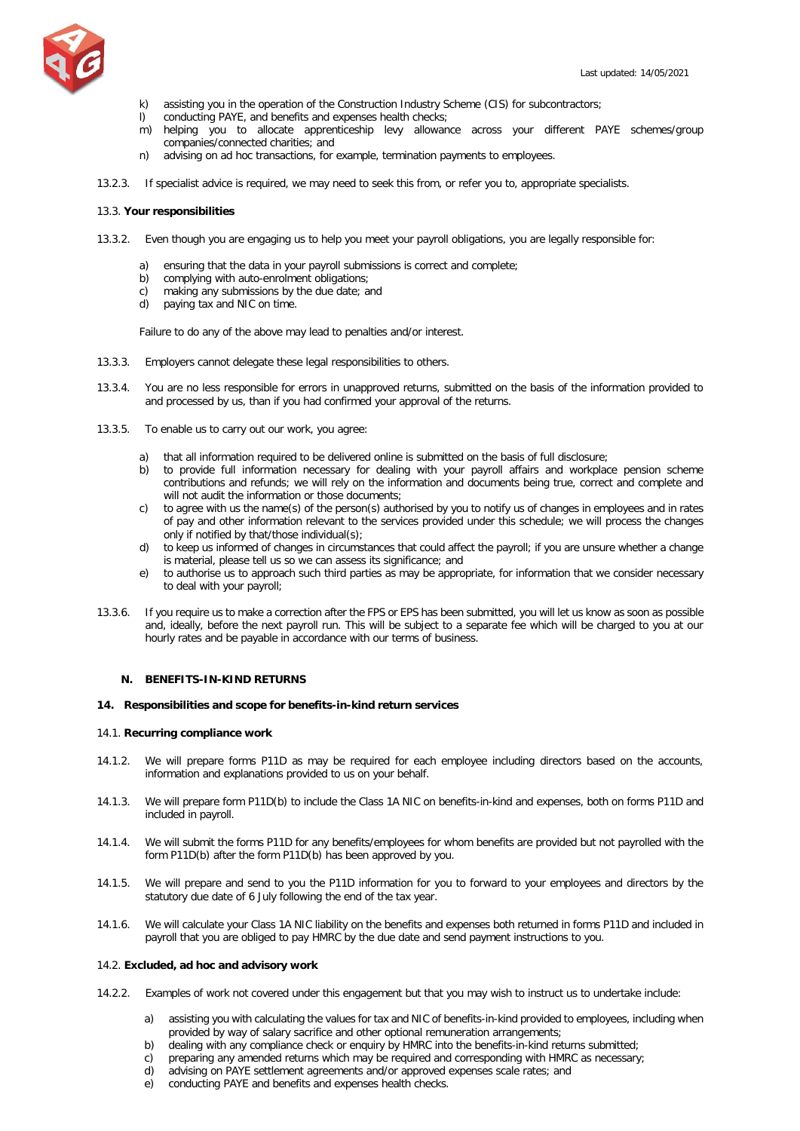

- k) assisting you in the operation of the Construction Industry Scheme (CIS) for subcontractors;
- l) conducting PAYE, and benefits and expenses health checks;
- m) helping you to allocate apprenticeship levy allowance across your different PAYE schemes/group companies/connected charities; and
- n) advising on ad hoc transactions, for example, termination payments to employees.
- 13.2.3. If specialist advice is required, we may need to seek this from, or refer you to, appropriate specialists.

## 13.3. **Your responsibilities**

- 13.3.2. Even though you are engaging us to help you meet your payroll obligations, you are legally responsible for:
	- a) ensuring that the data in your payroll submissions is correct and complete;
	- b) complying with auto-enrolment obligations;
	- c) making any submissions by the due date; and
	- d) paying tax and NIC on time.

Failure to do any of the above may lead to penalties and/or interest.

- 13.3.3. Employers cannot delegate these legal responsibilities to others.
- 13.3.4. You are no less responsible for errors in unapproved returns, submitted on the basis of the information provided to and processed by us, than if you had confirmed your approval of the returns.
- 13.3.5. To enable us to carry out our work, you agree:
	- a) that all information required to be delivered online is submitted on the basis of full disclosure;
	- b) to provide full information necessary for dealing with your payroll affairs and workplace pension scheme contributions and refunds; we will rely on the information and documents being true, correct and complete and will not audit the information or those documents;
	- c) to agree with us the name(s) of the person(s) authorised by you to notify us of changes in employees and in rates of pay and other information relevant to the services provided under this schedule; we will process the changes only if notified by that/those individual(s);
	- d) to keep us informed of changes in circumstances that could affect the payroll; if you are unsure whether a change is material, please tell us so we can assess its significance; and
	- e) to authorise us to approach such third parties as may be appropriate, for information that we consider necessary to deal with your payroll;
- 13.3.6. If you require us to make a correction after the FPS or EPS has been submitted, you will let us know as soon as possible and, ideally, before the next payroll run. This will be subject to a separate fee which will be charged to you at our hourly rates and be payable in accordance with our terms of business.

## <span id="page-17-0"></span>**N. BENEFITS-IN-KIND RETURNS**

#### **14. Responsibilities and scope for benefits-in-kind return services**

#### 14.1. **Recurring compliance work**

- 14.1.2. We will prepare forms P11D as may be required for each employee including directors based on the accounts, information and explanations provided to us on your behalf.
- 14.1.3. We will prepare form P11D(b) to include the Class 1A NIC on benefits-in-kind and expenses, both on forms P11D and included in payroll.
- 14.1.4. We will submit the forms P11D for any benefits/employees for whom benefits are provided but not payrolled with the form P11D(b) after the form P11D(b) has been approved by you.
- 14.1.5. We will prepare and send to you the P11D information for you to forward to your employees and directors by the statutory due date of 6 July following the end of the tax year.
- 14.1.6. We will calculate your Class 1A NIC liability on the benefits and expenses both returned in forms P11D and included in payroll that you are obliged to pay HMRC by the due date and send payment instructions to you.

# 14.2. **Excluded, ad hoc and advisory work**

- 14.2.2. Examples of work not covered under this engagement but that you may wish to instruct us to undertake include:
	- a) assisting you with calculating the values for tax and NIC of benefits-in-kind provided to employees, including when provided by way of salary sacrifice and other optional remuneration arrangements;
	- b) dealing with any compliance check or enquiry by HMRC into the benefits-in-kind returns submitted;
	- c) preparing any amended returns which may be required and corresponding with HMRC as necessary;
	- d) advising on PAYE settlement agreements and/or approved expenses scale rates; and
	- e) conducting PAYE and benefits and expenses health checks.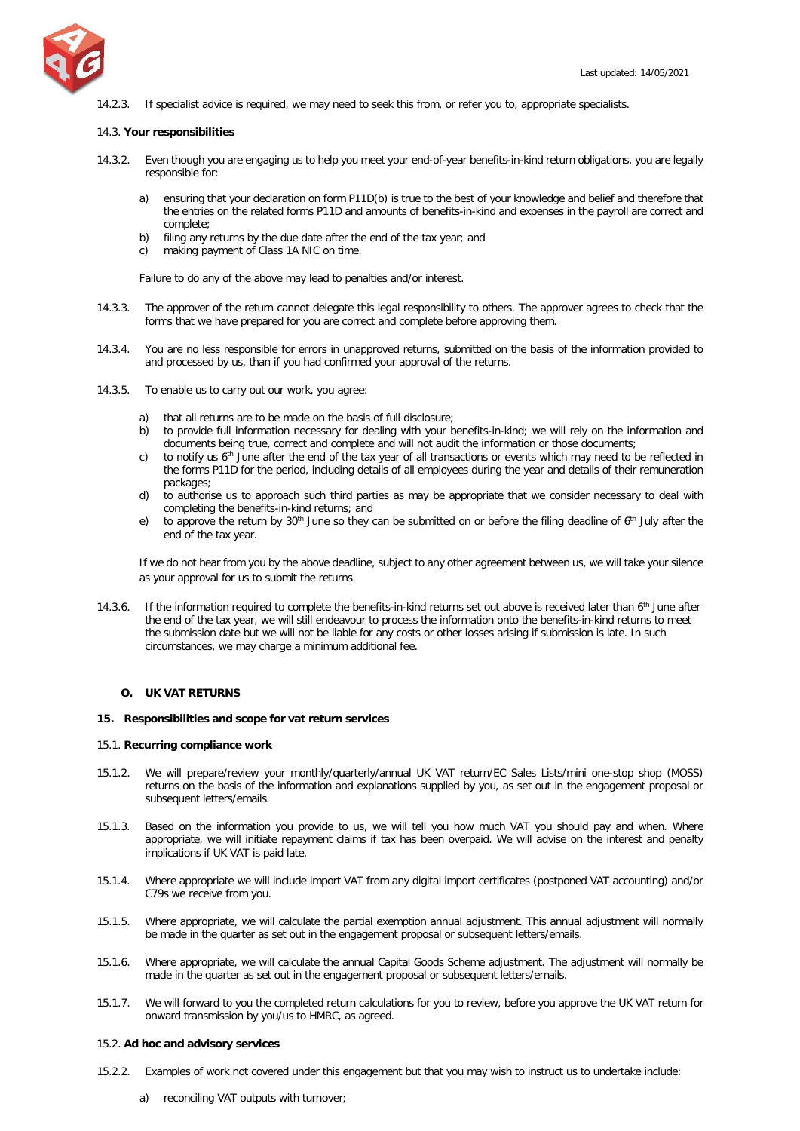

14.2.3. If specialist advice is required, we may need to seek this from, or refer you to, appropriate specialists.

### 14.3. **Your responsibilities**

- 14.3.2. Even though you are engaging us to help you meet your end-of-year benefits-in-kind return obligations, you are legally responsible for:
	- a) ensuring that your declaration on form P11D(b) is true to the best of your knowledge and belief and therefore that the entries on the related forms P11D and amounts of benefits-in-kind and expenses in the payroll are correct and complete;
	- b) filing any returns by the due date after the end of the tax year; and
	- c) making payment of Class 1A NIC on time.

Failure to do any of the above may lead to penalties and/or interest.

- 14.3.3. The approver of the return cannot delegate this legal responsibility to others. The approver agrees to check that the forms that we have prepared for you are correct and complete before approving them.
- 14.3.4. You are no less responsible for errors in unapproved returns, submitted on the basis of the information provided to and processed by us, than if you had confirmed your approval of the returns.
- 14.3.5. To enable us to carry out our work, you agree:
	- a) that all returns are to be made on the basis of full disclosure;
	- b) to provide full information necessary for dealing with your benefits-in-kind; we will rely on the information and documents being true, correct and complete and will not audit the information or those documents;
	- c) to notify us  $6<sup>th</sup>$  June after the end of the tax year of all transactions or events which may need to be reflected in the forms P11D for the period, including details of all employees during the year and details of their remuneration packages;
	- d) to authorise us to approach such third parties as may be appropriate that we consider necessary to deal with completing the benefits-in-kind returns; and
	- e) to approve the return by  $30<sup>th</sup>$  June so they can be submitted on or before the filing deadline of  $6<sup>th</sup>$  July after the end of the tax year.

If we do not hear from you by the above deadline, subject to any other agreement between us, we will take your silence as your approval for us to submit the returns.

14.3.6. If the information required to complete the benefits-in-kind returns set out above is received later than  $6<sup>th</sup>$  June after the end of the tax year, we will still endeavour to process the information onto the benefits-in-kind returns to meet the submission date but we will not be liable for any costs or other losses arising if submission is late. In such circumstances, we may charge a minimum additional fee.

#### <span id="page-18-0"></span>**O. UK VAT RETURNS**

#### **15. Responsibilities and scope for vat return services**

#### 15.1. **Recurring compliance work**

- 15.1.2. We will prepare/review your monthly/quarterly/annual UK VAT return/EC Sales Lists/mini one-stop shop (MOSS) returns on the basis of the information and explanations supplied by you, as set out in the engagement proposal or subsequent letters/emails.
- 15.1.3. Based on the information you provide to us, we will tell you how much VAT you should pay and when. Where appropriate, we will initiate repayment claims if tax has been overpaid. We will advise on the interest and penalty implications if UK VAT is paid late.
- 15.1.4. Where appropriate we will include import VAT from any digital import certificates (postponed VAT accounting) and/or C79s we receive from you.
- 15.1.5. Where appropriate, we will calculate the partial exemption annual adjustment. This annual adjustment will normally be made in the quarter as set out in the engagement proposal or subsequent letters/emails.
- 15.1.6. Where appropriate, we will calculate the annual Capital Goods Scheme adjustment. The adjustment will normally be made in the quarter as set out in the engagement proposal or subsequent letters/emails.
- 15.1.7. We will forward to you the completed return calculations for you to review, before you approve the UK VAT return for onward transmission by you/us to HMRC, as agreed.

#### 15.2. **Ad hoc and advisory services**

- 15.2.2. Examples of work not covered under this engagement but that you may wish to instruct us to undertake include:
	- a) reconciling VAT outputs with turnover;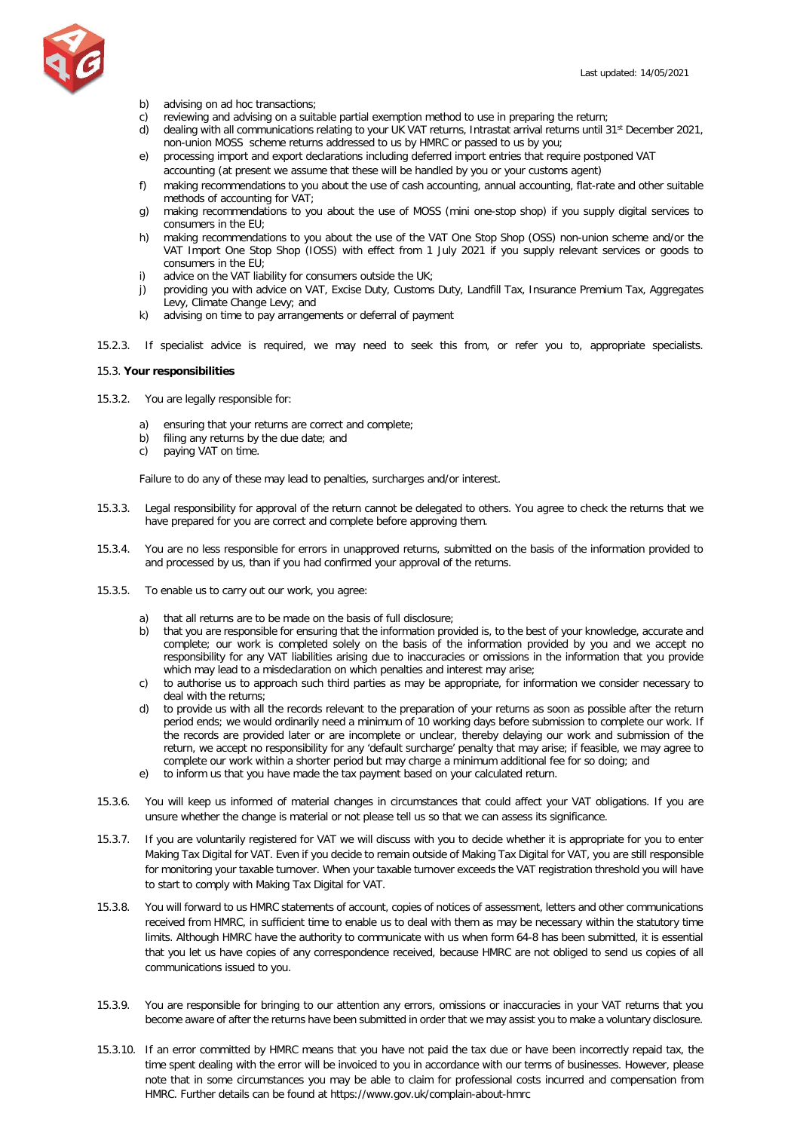

- b) advising on ad hoc transactions;
- c) reviewing and advising on a suitable partial exemption method to use in preparing the return;
- d) dealing with all communications relating to your UK VAT returns, Intrastat arrival returns until 31<sup>st</sup> December 2021, non-union MOSS scheme returns addressed to us by HMRC or passed to us by you;
- e) processing import and export declarations including deferred import entries that require postponed VAT accounting (at present we assume that these will be handled by you or your customs agent)
- f) making recommendations to you about the use of cash accounting, annual accounting, flat-rate and other suitable methods of accounting for VAT;
- g) making recommendations to you about the use of MOSS (mini one-stop shop) if you supply digital services to consumers in the EU;
- h) making recommendations to you about the use of the VAT One Stop Shop (OSS) non-union scheme and/or the VAT Import One Stop Shop (IOSS) with effect from 1 July 2021 if you supply relevant services or goods to consumers in the EU;
- i) advice on the VAT liability for consumers outside the UK;
- j) providing you with advice on VAT, Excise Duty, Customs Duty, Landfill Tax, Insurance Premium Tax, Aggregates Levy, Climate Change Levy; and
- k) advising on time to pay arrangements or deferral of payment
- 15.2.3. If specialist advice is required, we may need to seek this from, or refer you to, appropriate specialists.

#### 15.3. **Your responsibilities**

- 15.3.2. You are legally responsible for:
	- a) ensuring that your returns are correct and complete;
	- b) filing any returns by the due date; and
	- c) paying VAT on time.

Failure to do any of these may lead to penalties, surcharges and/or interest.

- 15.3.3. Legal responsibility for approval of the return cannot be delegated to others. You agree to check the returns that we have prepared for you are correct and complete before approving them.
- 15.3.4. You are no less responsible for errors in unapproved returns, submitted on the basis of the information provided to and processed by us, than if you had confirmed your approval of the returns.
- 15.3.5. To enable us to carry out our work, you agree:
	- a) that all returns are to be made on the basis of full disclosure;
	- b) that you are responsible for ensuring that the information provided is, to the best of your knowledge, accurate and complete; our work is completed solely on the basis of the information provided by you and we accept no responsibility for any VAT liabilities arising due to inaccuracies or omissions in the information that you provide which may lead to a misdeclaration on which penalties and interest may arise;
	- c) to authorise us to approach such third parties as may be appropriate, for information we consider necessary to deal with the returns;
	- d) to provide us with all the records relevant to the preparation of your returns as soon as possible after the return period ends; we would ordinarily need a minimum of 10 working days before submission to complete our work. If the records are provided later or are incomplete or unclear, thereby delaying our work and submission of the return, we accept no responsibility for any 'default surcharge' penalty that may arise; if feasible, we may agree to complete our work within a shorter period but may charge a minimum additional fee for so doing; and
	- e) to inform us that you have made the tax payment based on your calculated return.
- 15.3.6. You will keep us informed of material changes in circumstances that could affect your VAT obligations. If you are unsure whether the change is material or not please tell us so that we can assess its significance.
- 15.3.7. If you are voluntarily registered for VAT we will discuss with you to decide whether it is appropriate for you to enter Making Tax Digital for VAT. Even if you decide to remain outside of Making Tax Digital for VAT, you are still responsible for monitoring your taxable turnover. When your taxable turnover exceeds the VAT registration threshold you will have to start to comply with Making Tax Digital for VAT.
- 15.3.8. You will forward to us HMRC statements of account, copies of notices of assessment, letters and other communications received from HMRC, in sufficient time to enable us to deal with them as may be necessary within the statutory time limits. Although HMRC have the authority to communicate with us when form 64-8 has been submitted, it is essential that you let us have copies of any correspondence received, because HMRC are not obliged to send us copies of all communications issued to you.
- 15.3.9. You are responsible for bringing to our attention any errors, omissions or inaccuracies in your VAT returns that you become aware of after the returns have been submitted in order that we may assist you to make a voluntary disclosure.
- 15.3.10. If an error committed by HMRC means that you have not paid the tax due or have been incorrectly repaid tax, the time spent dealing with the error will be invoiced to you in accordance with our terms of businesses. However, please note that in some circumstances you may be able to claim for professional costs incurred and compensation from HMRC. Further details can be found at https://www.gov.uk/complain-about-hmrc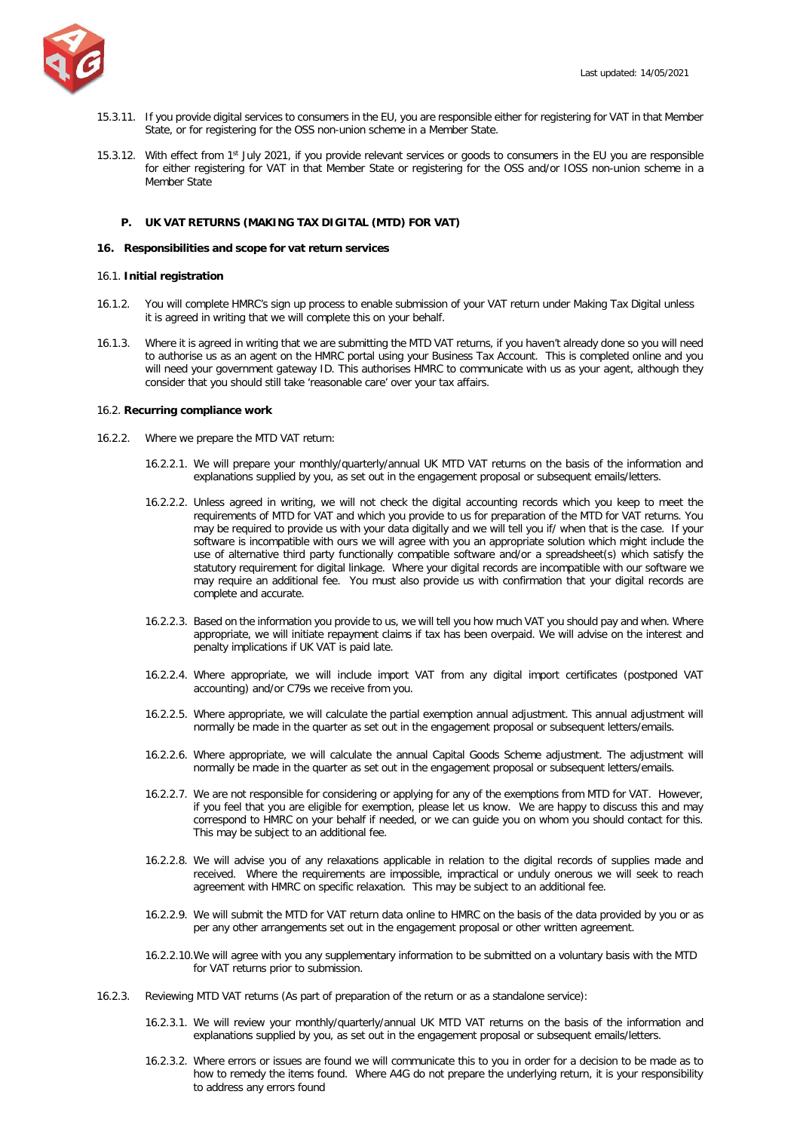

- 15.3.11. If you provide digital services to consumers in the EU, you are responsible either for registering for VAT in that Member State, or for registering for the OSS non-union scheme in a Member State.
- 15.3.12. With effect from 1<sup>st</sup> July 2021, if you provide relevant services or goods to consumers in the EU you are responsible for either registering for VAT in that Member State or registering for the OSS and/or IOSS non-union scheme in a Member State

## <span id="page-20-0"></span>**P. UK VAT RETURNS (MAKING TAX DIGITAL (MTD) FOR VAT)**

#### **16. Responsibilities and scope for vat return services**

## 16.1. **Initial registration**

- 16.1.2. You will complete HMRC's sign up process to enable submission of your VAT return under Making Tax Digital unless it is agreed in writing that we will complete this on your behalf.
- 16.1.3. Where it is agreed in writing that we are submitting the MTD VAT returns, if you haven't already done so you will need to authorise us as an agent on the HMRC portal using your Business Tax Account. This is completed online and you will need your government gateway ID. This authorises HMRC to communicate with us as your agent, although they consider that you should still take 'reasonable care' over your tax affairs.

#### 16.2. **Recurring compliance work**

- 16.2.2. Where we prepare the MTD VAT return:
	- 16.2.2.1. We will prepare your monthly/quarterly/annual UK MTD VAT returns on the basis of the information and explanations supplied by you, as set out in the engagement proposal or subsequent emails/letters.
	- 16.2.2.2. Unless agreed in writing, we will not check the digital accounting records which you keep to meet the requirements of MTD for VAT and which you provide to us for preparation of the MTD for VAT returns. You may be required to provide us with your data digitally and we will tell you if/ when that is the case. If your software is incompatible with ours we will agree with you an appropriate solution which might include the use of alternative third party functionally compatible software and/or a spreadsheet(s) which satisfy the statutory requirement for digital linkage. Where your digital records are incompatible with our software we may require an additional fee. You must also provide us with confirmation that your digital records are complete and accurate.
	- 16.2.2.3. Based on the information you provide to us, we will tell you how much VAT you should pay and when. Where appropriate, we will initiate repayment claims if tax has been overpaid. We will advise on the interest and penalty implications if UK VAT is paid late.
	- 16.2.2.4. Where appropriate, we will include import VAT from any digital import certificates (postponed VAT accounting) and/or C79s we receive from you.
	- 16.2.2.5. Where appropriate, we will calculate the partial exemption annual adjustment. This annual adjustment will normally be made in the quarter as set out in the engagement proposal or subsequent letters/emails.
	- 16.2.2.6. Where appropriate, we will calculate the annual Capital Goods Scheme adjustment. The adjustment will normally be made in the quarter as set out in the engagement proposal or subsequent letters/emails.
	- 16.2.2.7. We are not responsible for considering or applying for any of the exemptions from MTD for VAT. However, if you feel that you are eligible for exemption, please let us know. We are happy to discuss this and may correspond to HMRC on your behalf if needed, or we can guide you on whom you should contact for this. This may be subject to an additional fee.
	- 16.2.2.8. We will advise you of any relaxations applicable in relation to the digital records of supplies made and received. Where the requirements are impossible, impractical or unduly onerous we will seek to reach agreement with HMRC on specific relaxation. This may be subject to an additional fee.
	- 16.2.2.9. We will submit the MTD for VAT return data online to HMRC on the basis of the data provided by you or as per any other arrangements set out in the engagement proposal or other written agreement.
	- 16.2.2.10.We will agree with you any supplementary information to be submitted on a voluntary basis with the MTD for VAT returns prior to submission.
- 16.2.3. Reviewing MTD VAT returns (As part of preparation of the return or as a standalone service):
	- 16.2.3.1. We will review your monthly/quarterly/annual UK MTD VAT returns on the basis of the information and explanations supplied by you, as set out in the engagement proposal or subsequent emails/letters.
	- 16.2.3.2. Where errors or issues are found we will communicate this to you in order for a decision to be made as to how to remedy the items found. Where A4G do not prepare the underlying return, it is your responsibility to address any errors found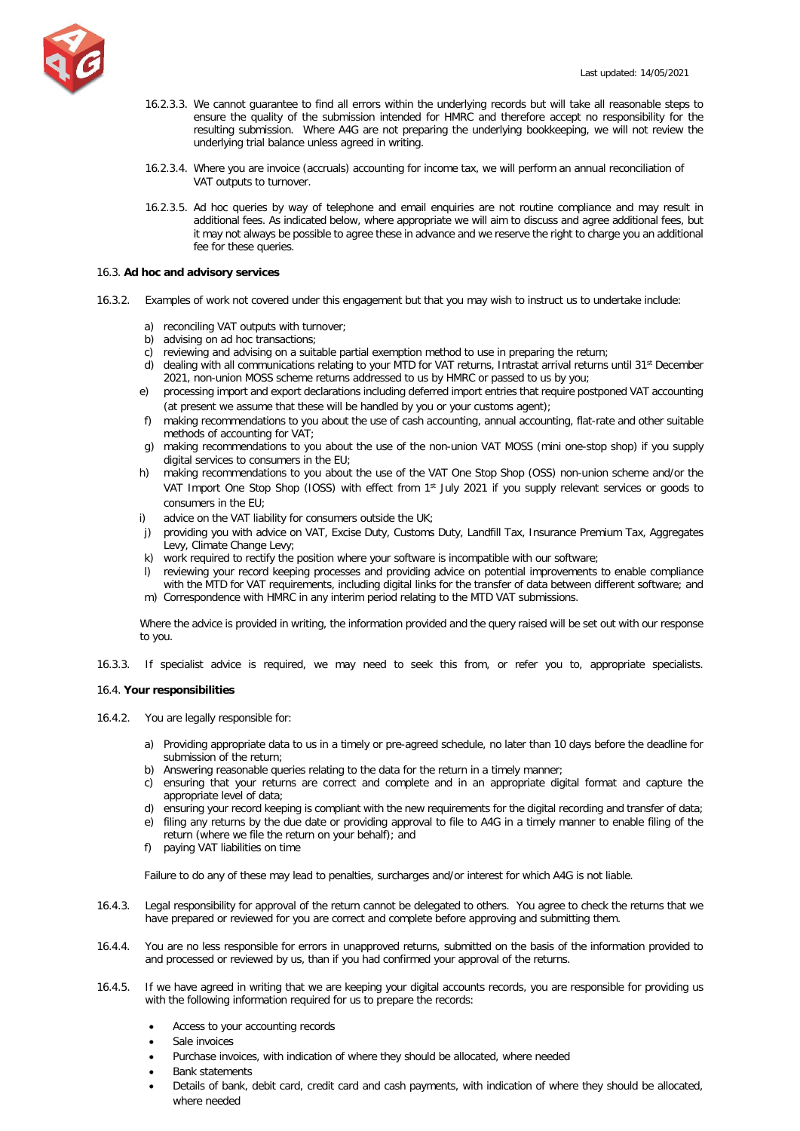

- 16.2.3.3. We cannot guarantee to find all errors within the underlying records but will take all reasonable steps to ensure the quality of the submission intended for HMRC and therefore accept no responsibility for the resulting submission. Where A4G are not preparing the underlying bookkeeping, we will not review the underlying trial balance unless agreed in writing.
- 16.2.3.4. Where you are invoice (accruals) accounting for income tax, we will perform an annual reconciliation of VAT outputs to turnover.
- 16.2.3.5. Ad hoc queries by way of telephone and email enquiries are not routine compliance and may result in additional fees. As indicated below, where appropriate we will aim to discuss and agree additional fees, but it may not always be possible to agree these in advance and we reserve the right to charge you an additional fee for these queries.

### 16.3. **Ad hoc and advisory services**

- 16.3.2. Examples of work not covered under this engagement but that you may wish to instruct us to undertake include:
	- a) reconciling VAT outputs with turnover;
	- b) advising on ad hoc transactions;
	- c) reviewing and advising on a suitable partial exemption method to use in preparing the return;
	- d) dealing with all communications relating to your MTD for VAT returns, Intrastat arrival returns until 31<sup>st</sup> December 2021, non-union MOSS scheme returns addressed to us by HMRC or passed to us by you;
	- e) processing import and export declarations including deferred import entries that require postponed VAT accounting (at present we assume that these will be handled by you or your customs agent);
	- f) making recommendations to you about the use of cash accounting, annual accounting, flat-rate and other suitable methods of accounting for VAT;
	- g) making recommendations to you about the use of the non-union VAT MOSS (mini one-stop shop) if you supply digital services to consumers in the EU;
	- h) making recommendations to you about the use of the VAT One Stop Shop (OSS) non-union scheme and/or the VAT Import One Stop Shop (IOSS) with effect from 1<sup>st</sup> July 2021 if you supply relevant services or goods to consumers in the EU;
	- i) advice on the VAT liability for consumers outside the UK;
	- j) providing you with advice on VAT, Excise Duty, Customs Duty, Landfill Tax, Insurance Premium Tax, Aggregates Levy, Climate Change Levy;
	- k) work required to rectify the position where your software is incompatible with our software;
	- l) reviewing your record keeping processes and providing advice on potential improvements to enable compliance with the MTD for VAT requirements, including digital links for the transfer of data between different software; and m) Correspondence with HMRC in any interim period relating to the MTD VAT submissions.
	-

Where the advice is provided in writing, the information provided and the query raised will be set out with our response to you.

16.3.3. If specialist advice is required, we may need to seek this from, or refer you to, appropriate specialists.

## 16.4. **Your responsibilities**

- 16.4.2. You are legally responsible for:
	- a) Providing appropriate data to us in a timely or pre-agreed schedule, no later than 10 days before the deadline for submission of the return;
	- b) Answering reasonable queries relating to the data for the return in a timely manner:
	- c) ensuring that your returns are correct and complete and in an appropriate digital format and capture the appropriate level of data;
	- d) ensuring your record keeping is compliant with the new requirements for the digital recording and transfer of data;
	- e) filing any returns by the due date or providing approval to file to A4G in a timely manner to enable filing of the return (where we file the return on your behalf); and
	- f) paying VAT liabilities on time

Failure to do any of these may lead to penalties, surcharges and/or interest for which A4G is not liable.

- 16.4.3. Legal responsibility for approval of the return cannot be delegated to others. You agree to check the returns that we have prepared or reviewed for you are correct and complete before approving and submitting them.
- 16.4.4. You are no less responsible for errors in unapproved returns, submitted on the basis of the information provided to and processed or reviewed by us, than if you had confirmed your approval of the returns.
- 16.4.5. If we have agreed in writing that we are keeping your digital accounts records, you are responsible for providing us with the following information required for us to prepare the records:
	- Access to your accounting records
	- Sale invoices
	- Purchase invoices, with indication of where they should be allocated, where needed
	- Bank statements
	- Details of bank, debit card, credit card and cash payments, with indication of where they should be allocated, where needed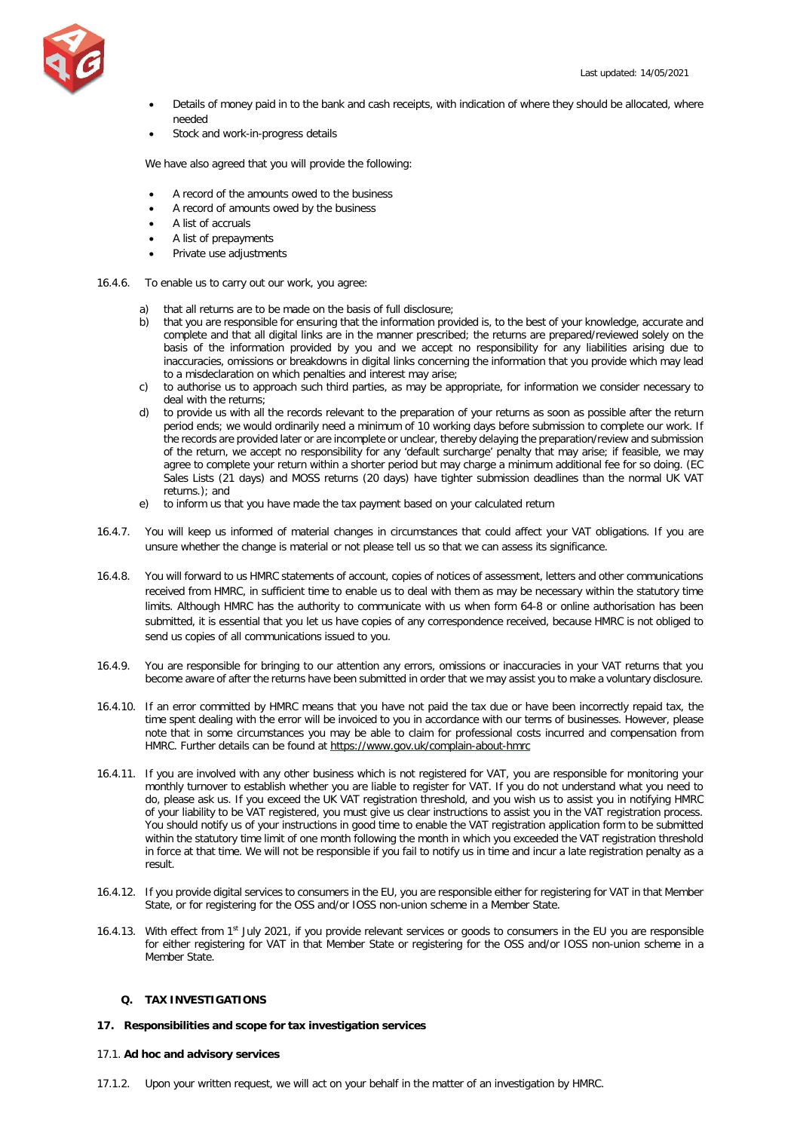

- Details of money paid in to the bank and cash receipts, with indication of where they should be allocated, where needed
- Stock and work-in-progress details

We have also agreed that you will provide the following:

- A record of the amounts owed to the business
- A record of amounts owed by the business
- A list of accruals
- A list of prepayments
- Private use adjustments
- 16.4.6. To enable us to carry out our work, you agree:
	- a) that all returns are to be made on the basis of full disclosure;
	- b) that you are responsible for ensuring that the information provided is, to the best of your knowledge, accurate and complete and that all digital links are in the manner prescribed; the returns are prepared/reviewed solely on the basis of the information provided by you and we accept no responsibility for any liabilities arising due to inaccuracies, omissions or breakdowns in digital links concerning the information that you provide which may lead to a misdeclaration on which penalties and interest may arise;
	- c) to authorise us to approach such third parties, as may be appropriate, for information we consider necessary to deal with the returns;
	- d) to provide us with all the records relevant to the preparation of your returns as soon as possible after the return period ends; we would ordinarily need a minimum of 10 working days before submission to complete our work. If the records are provided later or are incomplete or unclear, thereby delaying the preparation/review and submission of the return, we accept no responsibility for any 'default surcharge' penalty that may arise; if feasible, we may agree to complete your return within a shorter period but may charge a minimum additional fee for so doing. (EC Sales Lists (21 days) and MOSS returns (20 days) have tighter submission deadlines than the normal UK VAT returns.); and
	- e) to inform us that you have made the tax payment based on your calculated return
- 16.4.7. You will keep us informed of material changes in circumstances that could affect your VAT obligations. If you are unsure whether the change is material or not please tell us so that we can assess its significance.
- 16.4.8. You will forward to us HMRC statements of account, copies of notices of assessment, letters and other communications received from HMRC, in sufficient time to enable us to deal with them as may be necessary within the statutory time limits. Although HMRC has the authority to communicate with us when form 64-8 or online authorisation has been submitted, it is essential that you let us have copies of any correspondence received, because HMRC is not obliged to send us copies of all communications issued to you.
- 16.4.9. You are responsible for bringing to our attention any errors, omissions or inaccuracies in your VAT returns that you become aware of after the returns have been submitted in order that we may assist you to make a voluntary disclosure.
- 16.4.10. If an error committed by HMRC means that you have not paid the tax due or have been incorrectly repaid tax, the time spent dealing with the error will be invoiced to you in accordance with our terms of businesses. However, please note that in some circumstances you may be able to claim for professional costs incurred and compensation from HMRC. Further details can be found at<https://www.gov.uk/complain-about-hmrc>
- 16.4.11. If you are involved with any other business which is not registered for VAT, you are responsible for monitoring your monthly turnover to establish whether you are liable to register for VAT. If you do not understand what you need to do, please ask us. If you exceed the UK VAT registration threshold, and you wish us to assist you in notifying HMRC of your liability to be VAT registered, you must give us clear instructions to assist you in the VAT registration process. You should notify us of your instructions in good time to enable the VAT registration application form to be submitted within the statutory time limit of one month following the month in which you exceeded the VAT registration threshold in force at that time. We will not be responsible if you fail to notify us in time and incur a late registration penalty as a result.
- 16.4.12. If you provide digital services to consumers in the EU, you are responsible either for registering for VAT in that Member State, or for registering for the OSS and/or IOSS non-union scheme in a Member State.
- 16.4.13. With effect from 1<sup>st</sup> July 2021, if you provide relevant services or goods to consumers in the EU you are responsible for either registering for VAT in that Member State or registering for the OSS and/or IOSS non-union scheme in a Member State.

# <span id="page-22-0"></span>**Q. TAX INVESTIGATIONS**

# **17. Responsibilities and scope for tax investigation services**

## 17.1. **Ad hoc and advisory services**

17.1.2. Upon your written request, we will act on your behalf in the matter of an investigation by HMRC.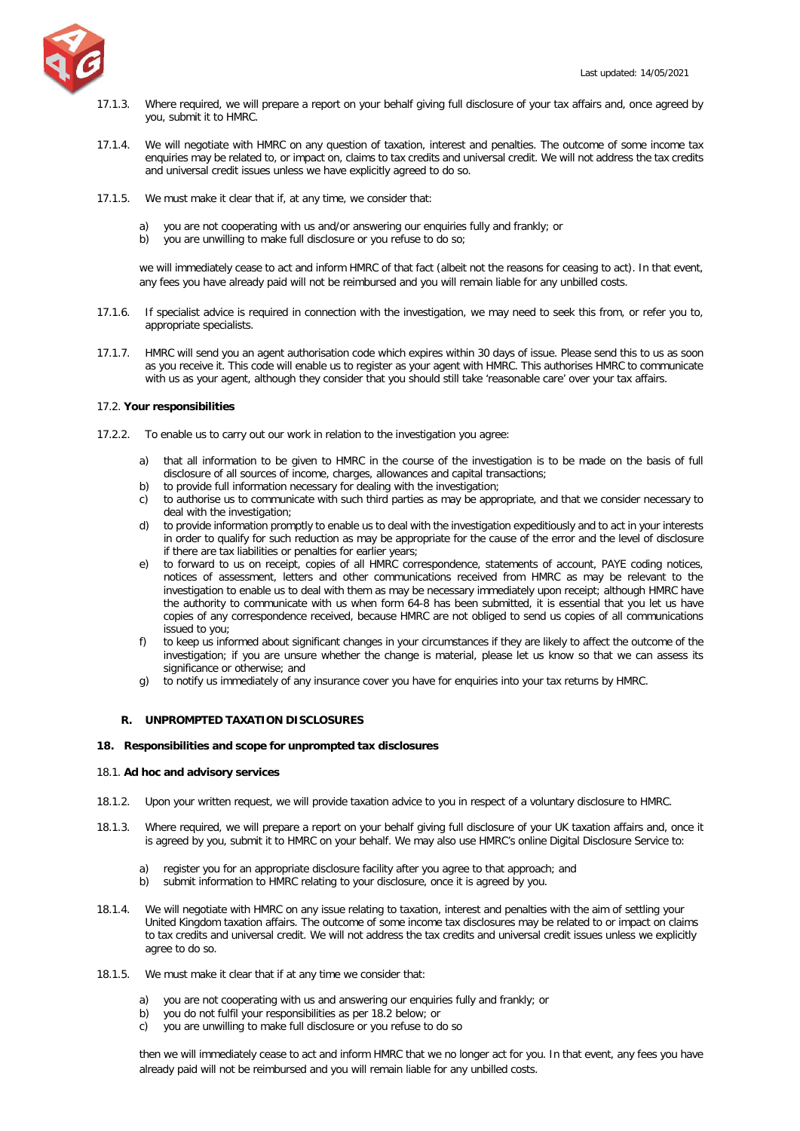

- 17.1.3. Where required, we will prepare a report on your behalf giving full disclosure of your tax affairs and, once agreed by you, submit it to HMRC.
- 17.1.4. We will negotiate with HMRC on any question of taxation, interest and penalties. The outcome of some income tax enquiries may be related to, or impact on, claims to tax credits and universal credit. We will not address the tax credits and universal credit issues unless we have explicitly agreed to do so.
- 17.1.5. We must make it clear that if, at any time, we consider that:
	- a) you are not cooperating with us and/or answering our enquiries fully and frankly; or
	- b) you are unwilling to make full disclosure or you refuse to do so;

we will immediately cease to act and inform HMRC of that fact (albeit not the reasons for ceasing to act). In that event, any fees you have already paid will not be reimbursed and you will remain liable for any unbilled costs.

- 17.1.6. If specialist advice is required in connection with the investigation, we may need to seek this from, or refer you to, appropriate specialists.
- 17.1.7. HMRC will send you an agent authorisation code which expires within 30 days of issue. Please send this to us as soon as you receive it. This code will enable us to register as your agent with HMRC. This authorises HMRC to communicate with us as your agent, although they consider that you should still take 'reasonable care' over your tax affairs.

## 17.2. **Your responsibilities**

- 17.2.2. To enable us to carry out our work in relation to the investigation you agree:
	- a) that all information to be given to HMRC in the course of the investigation is to be made on the basis of full disclosure of all sources of income, charges, allowances and capital transactions;
	- b) to provide full information necessary for dealing with the investigation;
	- c) to authorise us to communicate with such third parties as may be appropriate, and that we consider necessary to deal with the investigation;
	- d) to provide information promptly to enable us to deal with the investigation expeditiously and to act in your interests in order to qualify for such reduction as may be appropriate for the cause of the error and the level of disclosure if there are tax liabilities or penalties for earlier years;
	- e) to forward to us on receipt, copies of all HMRC correspondence, statements of account, PAYE coding notices, notices of assessment, letters and other communications received from HMRC as may be relevant to the investigation to enable us to deal with them as may be necessary immediately upon receipt; although HMRC have the authority to communicate with us when form 64-8 has been submitted, it is essential that you let us have copies of any correspondence received, because HMRC are not obliged to send us copies of all communications issued to you;
	- f) to keep us informed about significant changes in your circumstances if they are likely to affect the outcome of the investigation; if you are unsure whether the change is material, please let us know so that we can assess its significance or otherwise; and
	- g) to notify us immediately of any insurance cover you have for enquiries into your tax returns by HMRC.

# <span id="page-23-0"></span>**R. UNPROMPTED TAXATION DISCLOSURES**

## **18. Responsibilities and scope for unprompted tax disclosures**

## 18.1. **Ad hoc and advisory services**

- 18.1.2. Upon your written request, we will provide taxation advice to you in respect of a voluntary disclosure to HMRC.
- 18.1.3. Where required, we will prepare a report on your behalf giving full disclosure of your UK taxation affairs and, once it is agreed by you, submit it to HMRC on your behalf. We may also use HMRC's online Digital Disclosure Service to:
	- a) register you for an appropriate disclosure facility after you agree to that approach; and
	- b) submit information to HMRC relating to your disclosure, once it is agreed by you.
- 18.1.4. We will negotiate with HMRC on any issue relating to taxation, interest and penalties with the aim of settling your United Kingdom taxation affairs. The outcome of some income tax disclosures may be related to or impact on claims to tax credits and universal credit. We will not address the tax credits and universal credit issues unless we explicitly agree to do so.
- 18.1.5. We must make it clear that if at any time we consider that:
	- a) you are not cooperating with us and answering our enquiries fully and frankly; or
	- b) you do not fulfil your responsibilities as per 18.2 below; or
	- c) you are unwilling to make full disclosure or you refuse to do so

then we will immediately cease to act and inform HMRC that we no longer act for you. In that event, any fees you have already paid will not be reimbursed and you will remain liable for any unbilled costs.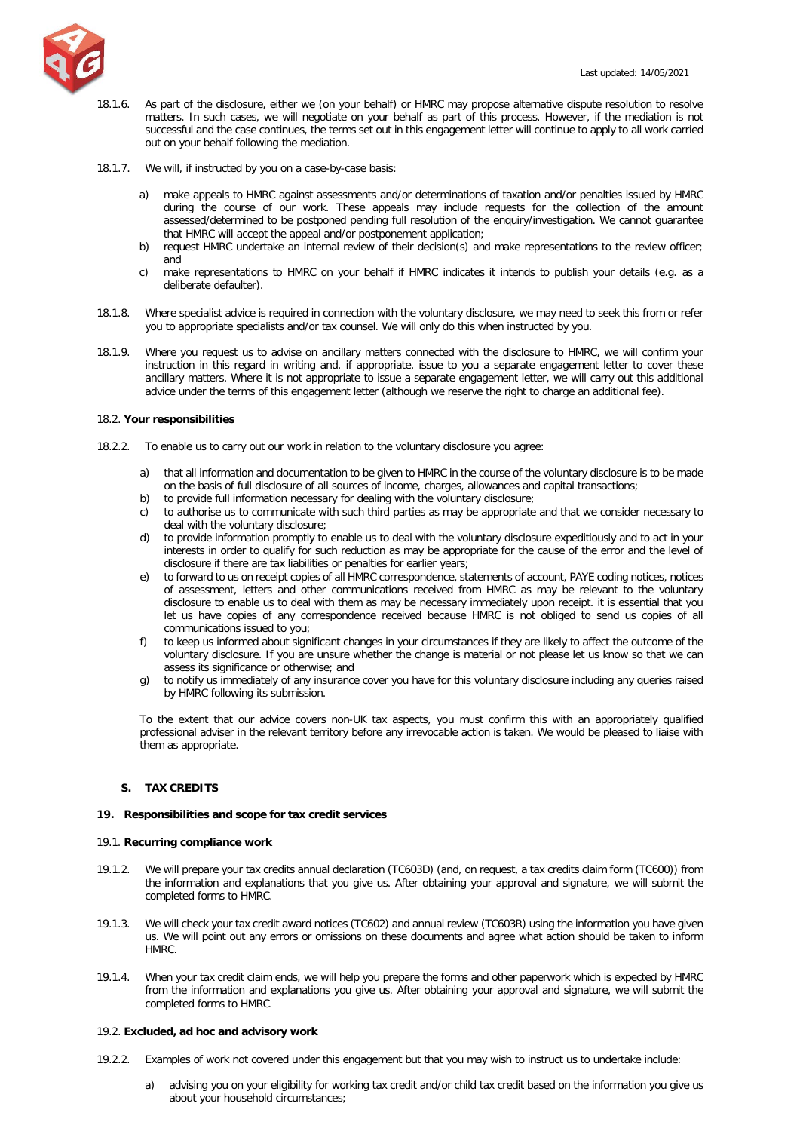

- 18.1.6. As part of the disclosure, either we (on your behalf) or HMRC may propose alternative dispute resolution to resolve matters. In such cases, we will negotiate on your behalf as part of this process. However, if the mediation is not successful and the case continues, the terms set out in this engagement letter will continue to apply to all work carried out on your behalf following the mediation.
- 18.1.7. We will, if instructed by you on a case-by-case basis:
	- a) make appeals to HMRC against assessments and/or determinations of taxation and/or penalties issued by HMRC during the course of our work. These appeals may include requests for the collection of the amount assessed/determined to be postponed pending full resolution of the enquiry/investigation. We cannot guarantee that HMRC will accept the appeal and/or postponement application;
	- b) request HMRC undertake an internal review of their decision(s) and make representations to the review officer; and
	- c) make representations to HMRC on your behalf if HMRC indicates it intends to publish your details (e.g. as a deliberate defaulter).
- 18.1.8. Where specialist advice is required in connection with the voluntary disclosure, we may need to seek this from or refer you to appropriate specialists and/or tax counsel. We will only do this when instructed by you.
- 18.1.9. Where you request us to advise on ancillary matters connected with the disclosure to HMRC, we will confirm your instruction in this regard in writing and, if appropriate, issue to you a separate engagement letter to cover these ancillary matters. Where it is not appropriate to issue a separate engagement letter, we will carry out this additional advice under the terms of this engagement letter (although we reserve the right to charge an additional fee).

## 18.2. **Your responsibilities**

- 18.2.2. To enable us to carry out our work in relation to the voluntary disclosure you agree:
	- a) that all information and documentation to be given to HMRC in the course of the voluntary disclosure is to be made on the basis of full disclosure of all sources of income, charges, allowances and capital transactions;
	- b) to provide full information necessary for dealing with the voluntary disclosure;
	- c) to authorise us to communicate with such third parties as may be appropriate and that we consider necessary to deal with the voluntary disclosure;
	- d) to provide information promptly to enable us to deal with the voluntary disclosure expeditiously and to act in your interests in order to qualify for such reduction as may be appropriate for the cause of the error and the level of disclosure if there are tax liabilities or penalties for earlier years;
	- e) to forward to us on receipt copies of all HMRC correspondence, statements of account, PAYE coding notices, notices of assessment, letters and other communications received from HMRC as may be relevant to the voluntary disclosure to enable us to deal with them as may be necessary immediately upon receipt. it is essential that you let us have copies of any correspondence received because HMRC is not obliged to send us copies of all communications issued to you;
	- f) to keep us informed about significant changes in your circumstances if they are likely to affect the outcome of the voluntary disclosure. If you are unsure whether the change is material or not please let us know so that we can assess its significance or otherwise; and
	- g) to notify us immediately of any insurance cover you have for this voluntary disclosure including any queries raised by HMRC following its submission.

To the extent that our advice covers non-UK tax aspects, you must confirm this with an appropriately qualified professional adviser in the relevant territory before any irrevocable action is taken. We would be pleased to liaise with them as appropriate.

# <span id="page-24-0"></span>**S. TAX CREDITS**

## **19. Responsibilities and scope for tax credit services**

## 19.1. **Recurring compliance work**

- 19.1.2. We will prepare your tax credits annual declaration (TC603D) (and, on request, a tax credits claim form (TC600)) from the information and explanations that you give us. After obtaining your approval and signature, we will submit the completed forms to HMRC.
- 19.1.3. We will check your tax credit award notices (TC602) and annual review (TC603R) using the information you have given us. We will point out any errors or omissions on these documents and agree what action should be taken to inform HMRC.
- 19.1.4. When your tax credit claim ends, we will help you prepare the forms and other paperwork which is expected by HMRC from the information and explanations you give us. After obtaining your approval and signature, we will submit the completed forms to HMRC.

## 19.2. **Excluded, ad hoc and advisory work**

- 19.2.2. Examples of work not covered under this engagement but that you may wish to instruct us to undertake include:
	- a) advising you on your eligibility for working tax credit and/or child tax credit based on the information you give us about your household circumstances;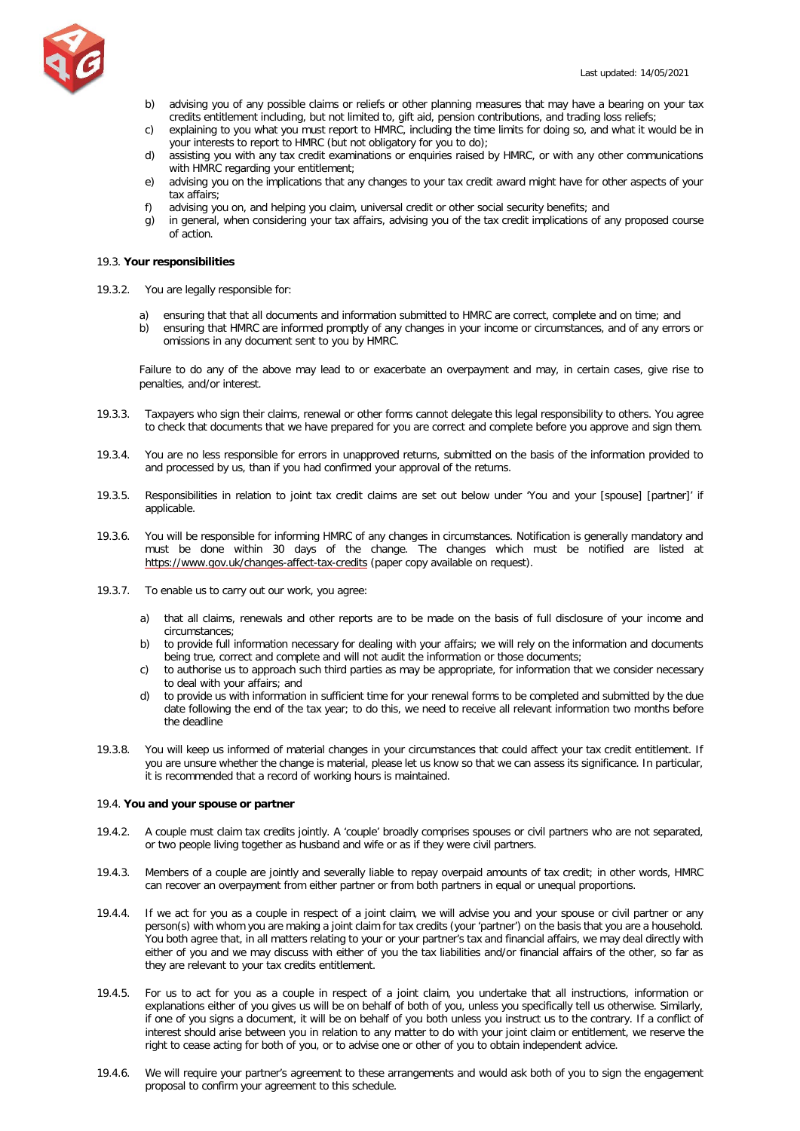

- b) advising you of any possible claims or reliefs or other planning measures that may have a bearing on your tax credits entitlement including, but not limited to, gift aid, pension contributions, and trading loss reliefs;
- c) explaining to you what you must report to HMRC, including the time limits for doing so, and what it would be in your interests to report to HMRC (but not obligatory for you to do);
- d) assisting you with any tax credit examinations or enquiries raised by HMRC, or with any other communications with HMRC regarding your entitlement;
- e) advising you on the implications that any changes to your tax credit award might have for other aspects of your tax affairs;
- f) advising you on, and helping you claim, universal credit or other social security benefits; and
- g) in general, when considering your tax affairs, advising you of the tax credit implications of any proposed course of action.

## 19.3. **Your responsibilities**

- 19.3.2. You are legally responsible for:
	- a) ensuring that that all documents and information submitted to HMRC are correct, complete and on time; and
	- b) ensuring that HMRC are informed promptly of any changes in your income or circumstances, and of any errors or omissions in any document sent to you by HMRC.

Failure to do any of the above may lead to or exacerbate an overpayment and may, in certain cases, give rise to penalties, and/or interest.

- 19.3.3. Taxpayers who sign their claims, renewal or other forms cannot delegate this legal responsibility to others. You agree to check that documents that we have prepared for you are correct and complete before you approve and sign them.
- 19.3.4. You are no less responsible for errors in unapproved returns, submitted on the basis of the information provided to and processed by us, than if you had confirmed your approval of the returns.
- 19.3.5. Responsibilities in relation to joint tax credit claims are set out below under 'You and your [spouse] [partner]' if applicable.
- 19.3.6. You will be responsible for informing HMRC of any changes in circumstances. Notification is generally mandatory and must be done within 30 days of the change. The changes which must be notified are listed at <https://www.gov.uk/changes-affect-tax-credits> (paper copy available on request).
- 19.3.7. To enable us to carry out our work, you agree:
	- a) that all claims, renewals and other reports are to be made on the basis of full disclosure of your income and circumstances;
	- b) to provide full information necessary for dealing with your affairs; we will rely on the information and documents being true, correct and complete and will not audit the information or those documents;
	- c) to authorise us to approach such third parties as may be appropriate, for information that we consider necessary to deal with your affairs; and
	- d) to provide us with information in sufficient time for your renewal forms to be completed and submitted by the due date following the end of the tax year; to do this, we need to receive all relevant information two months before the deadline
- 19.3.8. You will keep us informed of material changes in your circumstances that could affect your tax credit entitlement. If you are unsure whether the change is material, please let us know so that we can assess its significance. In particular, it is recommended that a record of working hours is maintained.

## 19.4. **You and your spouse or partner**

- 19.4.2. A couple must claim tax credits jointly. A 'couple' broadly comprises spouses or civil partners who are not separated, or two people living together as husband and wife or as if they were civil partners.
- 19.4.3. Members of a couple are jointly and severally liable to repay overpaid amounts of tax credit; in other words, HMRC can recover an overpayment from either partner or from both partners in equal or unequal proportions.
- 19.4.4. If we act for you as a couple in respect of a joint claim, we will advise you and your spouse or civil partner or any person(s) with whom you are making a joint claim for tax credits (your 'partner') on the basis that you are a household. You both agree that, in all matters relating to your or your partner's tax and financial affairs, we may deal directly with either of you and we may discuss with either of you the tax liabilities and/or financial affairs of the other, so far as they are relevant to your tax credits entitlement.
- 19.4.5. For us to act for you as a couple in respect of a joint claim, you undertake that all instructions, information or explanations either of you gives us will be on behalf of both of you, unless you specifically tell us otherwise. Similarly, if one of you signs a document, it will be on behalf of you both unless you instruct us to the contrary. If a conflict of interest should arise between you in relation to any matter to do with your joint claim or entitlement, we reserve the right to cease acting for both of you, or to advise one or other of you to obtain independent advice.
- 19.4.6. We will require your partner's agreement to these arrangements and would ask both of you to sign the engagement proposal to confirm your agreement to this schedule.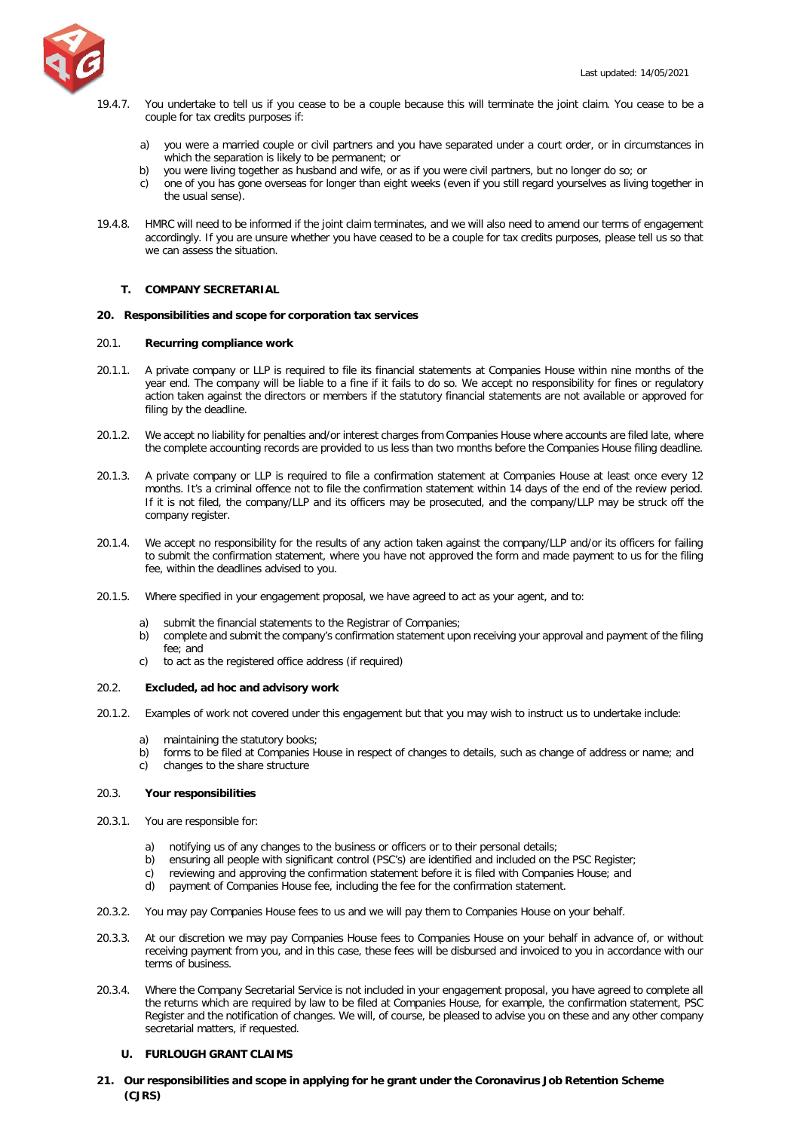

- 19.4.7. You undertake to tell us if you cease to be a couple because this will terminate the joint claim. You cease to be a couple for tax credits purposes if:
	- a) you were a married couple or civil partners and you have separated under a court order, or in circumstances in which the separation is likely to be permanent; or
	- b) you were living together as husband and wife, or as if you were civil partners, but no longer do so; or
	- c) one of you has gone overseas for longer than eight weeks (even if you still regard yourselves as living together in the usual sense).
- 19.4.8. HMRC will need to be informed if the joint claim terminates, and we will also need to amend our terms of engagement accordingly. If you are unsure whether you have ceased to be a couple for tax credits purposes, please tell us so that we can assess the situation.

# <span id="page-26-0"></span>**T. COMPANY SECRETARIAL**

## **20. Responsibilities and scope for corporation tax services**

## 20.1. **Recurring compliance work**

- 20.1.1. A private company or LLP is required to file its financial statements at Companies House within nine months of the year end. The company will be liable to a fine if it fails to do so. We accept no responsibility for fines or regulatory action taken against the directors or members if the statutory financial statements are not available or approved for filing by the deadline.
- 20.1.2. We accept no liability for penalties and/or interest charges from Companies House where accounts are filed late, where the complete accounting records are provided to us less than two months before the Companies House filing deadline.
- 20.1.3. A private company or LLP is required to file a confirmation statement at Companies House at least once every 12 months. It's a criminal offence not to file the confirmation statement within 14 days of the end of the review period. If it is not filed, the company/LLP and its officers may be prosecuted, and the company/LLP may be struck off the company register.
- 20.1.4. We accept no responsibility for the results of any action taken against the company/LLP and/or its officers for failing to submit the confirmation statement, where you have not approved the form and made payment to us for the filing fee, within the deadlines advised to you.
- 20.1.5. Where specified in your engagement proposal, we have agreed to act as your agent, and to:
	- a) submit the financial statements to the Registrar of Companies;
	- b) complete and submit the company's confirmation statement upon receiving your approval and payment of the filing fee; and
	- c) to act as the registered office address (if required)

## 20.2. **Excluded, ad hoc and advisory work**

- 20.1.2. Examples of work not covered under this engagement but that you may wish to instruct us to undertake include:
	- a) maintaining the statutory books;
	- b) forms to be filed at Companies House in respect of changes to details, such as change of address or name; and
	- c) changes to the share structure

# 20.3. **Your responsibilities**

- 20.3.1. You are responsible for:
	- notifying us of any changes to the business or officers or to their personal details;
	- b) ensuring all people with significant control (PSC's) are identified and included on the PSC Register;
	- c) reviewing and approving the confirmation statement before it is filed with Companies House; and
	- d) payment of Companies House fee, including the fee for the confirmation statement.
- 20.3.2. You may pay Companies House fees to us and we will pay them to Companies House on your behalf.
- 20.3.3. At our discretion we may pay Companies House fees to Companies House on your behalf in advance of, or without receiving payment from you, and in this case, these fees will be disbursed and invoiced to you in accordance with our terms of business.
- 20.3.4. Where the Company Secretarial Service is not included in your engagement proposal, you have agreed to complete all the returns which are required by law to be filed at Companies House, for example, the confirmation statement, PSC Register and the notification of changes. We will, of course, be pleased to advise you on these and any other company secretarial matters, if requested.

# <span id="page-26-1"></span>**U. FURLOUGH GRANT CLAIMS**

**21. Our responsibilities and scope in applying for he grant under the Coronavirus Job Retention Scheme (CJRS)**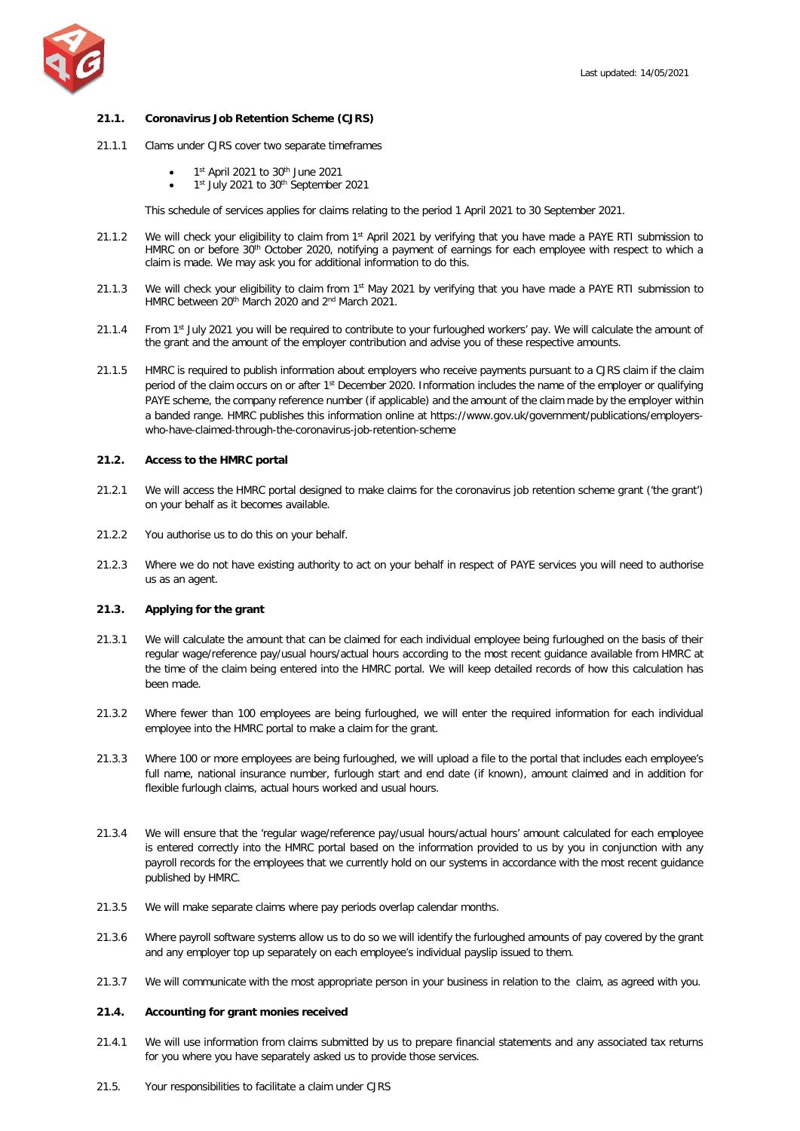## **21.1. Coronavirus Job Retention Scheme (CJRS)**

- 21.1.1 Clams under CJRS cover two separate timeframes
	- 1st April 2021 to 30<sup>th</sup> June 2021
	- 1<sup>st</sup> July 2021 to 30<sup>th</sup> September 2021

This schedule of services applies for claims relating to the period 1 April 2021 to 30 September 2021.

- 21.1.2 We will check your eligibility to claim from 1<sup>st</sup> April 2021 by verifying that you have made a PAYE RTI submission to HMRC on or before 30<sup>th</sup> October 2020, notifying a payment of earnings for each employee with respect to which a claim is made. We may ask you for additional information to do this.
- 21.1.3 We will check your eligibility to claim from 1st May 2021 by verifying that you have made a PAYE RTI submission to HMRC between 20<sup>th</sup> March 2020 and 2<sup>nd</sup> March 2021.
- 21.1.4 From 1st July 2021 you will be required to contribute to your furloughed workers' pay. We will calculate the amount of the grant and the amount of the employer contribution and advise you of these respective amounts.
- 21.1.5 HMRC is required to publish information about employers who receive payments pursuant to a CJRS claim if the claim period of the claim occurs on or after 1<sup>st</sup> December 2020. Information includes the name of the employer or qualifying PAYE scheme, the company reference number (if applicable) and the amount of the claim made by the employer within a banded range. HMRC publishes this information online at https://www.gov.uk/government/publications/employerswho-have-claimed-through-the-coronavirus-job-retention-scheme

## **21.2. Access to the HMRC portal**

- 21.2.1 We will access the HMRC portal designed to make claims for the coronavirus job retention scheme grant ('the grant') on your behalf as it becomes available.
- 21.2.2 You authorise us to do this on your behalf.
- 21.2.3 Where we do not have existing authority to act on your behalf in respect of PAYE services you will need to authorise us as an agent.

# **21.3. Applying for the grant**

- 21.3.1 We will calculate the amount that can be claimed for each individual employee being furloughed on the basis of their regular wage/reference pay/usual hours/actual hours according to the most recent guidance available from HMRC at the time of the claim being entered into the HMRC portal. We will keep detailed records of how this calculation has been made.
- 21.3.2 Where fewer than 100 employees are being furloughed, we will enter the required information for each individual employee into the HMRC portal to make a claim for the grant.
- 21.3.3 Where 100 or more employees are being furloughed, we will upload a file to the portal that includes each employee's full name, national insurance number, furlough start and end date (if known), amount claimed and in addition for flexible furlough claims, actual hours worked and usual hours.
- 21.3.4 We will ensure that the 'regular wage/reference pay/usual hours/actual hours' amount calculated for each employee is entered correctly into the HMRC portal based on the information provided to us by you in conjunction with any payroll records for the employees that we currently hold on our systems in accordance with the most recent guidance published by HMRC.
- 21.3.5 We will make separate claims where pay periods overlap calendar months.
- 21.3.6 Where payroll software systems allow us to do so we will identify the furloughed amounts of pay covered by the grant and any employer top up separately on each employee's individual payslip issued to them.
- 21.3.7 We will communicate with the most appropriate person in your business in relation to the claim, as agreed with you.

## **21.4. Accounting for grant monies received**

- 21.4.1 We will use information from claims submitted by us to prepare financial statements and any associated tax returns for you where you have separately asked us to provide those services.
- 21.5. Your responsibilities to facilitate a claim under CJRS